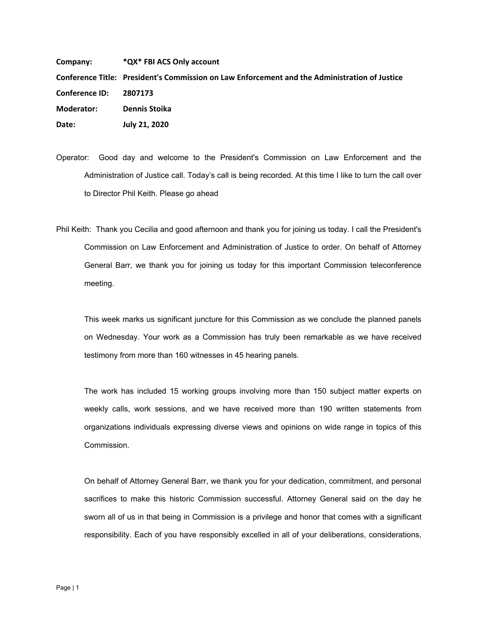**Company: \*QX\* FBI ACS Only account** Conference Title: President's Commission on Law Enforcement and the Administration of Justice  **Moderator: Dennis Stoika Date: July 21, 2020 Conference ID:** 

Operator: Good day and welcome to the President's Commission on Law Enforcement and the Administration of Justice call. Today's call is being recorded. At this time I like to turn the call over to Director Phil Keith. Please go ahead

Phil Keith: Thank you Cecilia and good afternoon and thank you for joining us today. I call the President's Commission on Law Enforcement and Administration of Justice to order. On behalf of Attorney General Barr, we thank you for joining us today for this important Commission teleconference meeting.

This week marks us significant juncture for this Commission as we conclude the planned panels on Wednesday. Your work as a Commission has truly been remarkable as we have received testimony from more than 160 witnesses in 45 hearing panels.

The work has included 15 working groups involving more than 150 subject matter experts on weekly calls, work sessions, and we have received more than 190 written statements from organizations individuals expressing diverse views and opinions on wide range in topics of this Commission.

On behalf of Attorney General Barr, we thank you for your dedication, commitment, and personal sacrifices to make this historic Commission successful. Attorney General said on the day he sworn all of us in that being in Commission is a privilege and honor that comes with a significant responsibility. Each of you have responsibly excelled in all of your deliberations, considerations,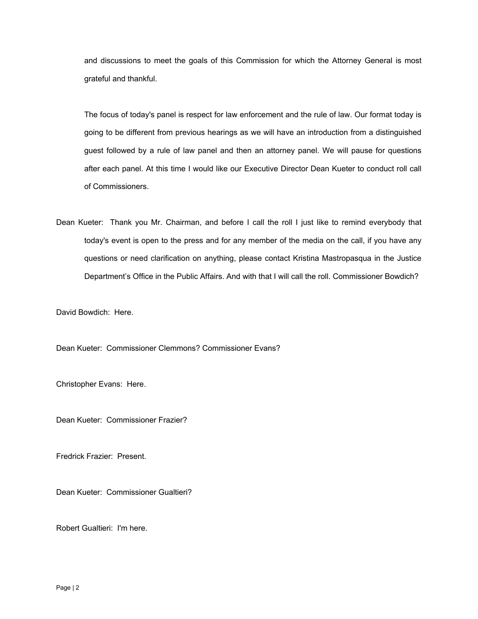and discussions to meet the goals of this Commission for which the Attorney General is most grateful and thankful.

The focus of today's panel is respect for law enforcement and the rule of law. Our format today is going to be different from previous hearings as we will have an introduction from a distinguished guest followed by a rule of law panel and then an attorney panel. We will pause for questions after each panel. At this time I would like our Executive Director Dean Kueter to conduct roll call of Commissioners.

Dean Kueter: Thank you Mr. Chairman, and before I call the roll I just like to remind everybody that today's event is open to the press and for any member of the media on the call, if you have any questions or need clarification on anything, please contact Kristina Mastropasqua in the Justice Department's Office in the Public Affairs. And with that I will call the roll. Commissioner Bowdich?

David Bowdich: Here.

Dean Kueter: Commissioner Clemmons? Commissioner Evans?

Christopher Evans: Here.

Dean Kueter: Commissioner Frazier?

Fredrick Frazier: Present.

Dean Kueter: Commissioner Gualtieri?

Robert Gualtieri: I'm here.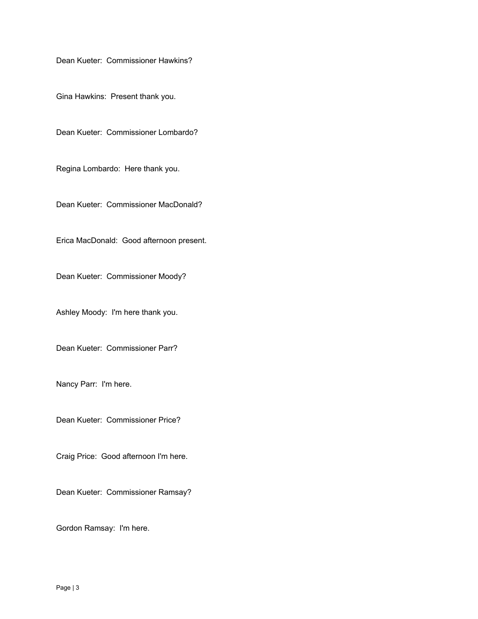Dean Kueter: Commissioner Hawkins?

Gina Hawkins: Present thank you.

Dean Kueter: Commissioner Lombardo?

Regina Lombardo: Here thank you.

Dean Kueter: Commissioner MacDonald?

Erica MacDonald: Good afternoon present.

Dean Kueter: Commissioner Moody?

Ashley Moody: I'm here thank you.

Dean Kueter: Commissioner Parr?

Nancy Parr: I'm here.

Dean Kueter: Commissioner Price?

Craig Price: Good afternoon I'm here.

Dean Kueter: Commissioner Ramsay?

Gordon Ramsay: I'm here.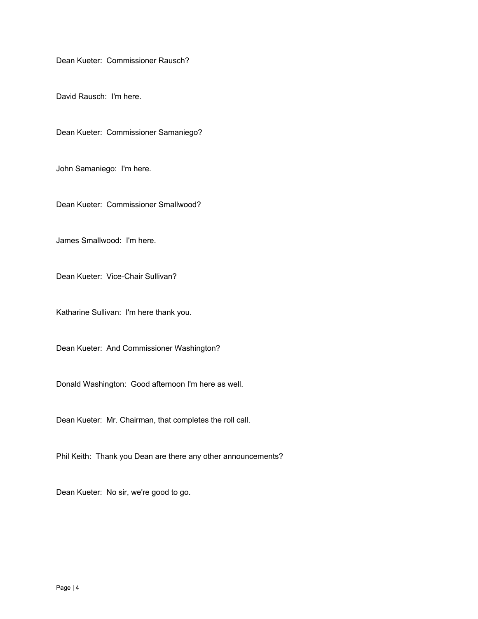Dean Kueter: Commissioner Rausch?

David Rausch: I'm here.

Dean Kueter: Commissioner Samaniego?

John Samaniego: I'm here.

Dean Kueter: Commissioner Smallwood?

James Smallwood: I'm here.

Dean Kueter: Vice-Chair Sullivan?

Katharine Sullivan: I'm here thank you.

Dean Kueter: And Commissioner Washington?

Donald Washington: Good afternoon I'm here as well.

Dean Kueter: Mr. Chairman, that completes the roll call.

Phil Keith: Thank you Dean are there any other announcements?

Dean Kueter: No sir, we're good to go.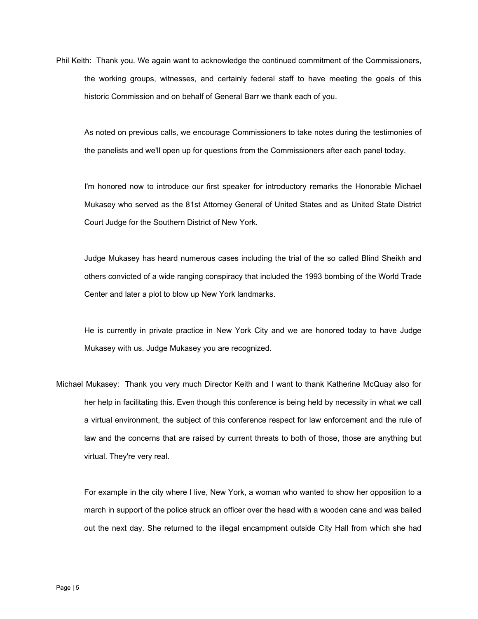Phil Keith: Thank you. We again want to acknowledge the continued commitment of the Commissioners, the working groups, witnesses, and certainly federal staff to have meeting the goals of this historic Commission and on behalf of General Barr we thank each of you.

As noted on previous calls, we encourage Commissioners to take notes during the testimonies of the panelists and we'll open up for questions from the Commissioners after each panel today.

I'm honored now to introduce our first speaker for introductory remarks the Honorable Michael Mukasey who served as the 81st Attorney General of United States and as United State District Court Judge for the Southern District of New York.

Judge Mukasey has heard numerous cases including the trial of the so called Blind Sheikh and others convicted of a wide ranging conspiracy that included the 1993 bombing of the World Trade Center and later a plot to blow up New York landmarks.

He is currently in private practice in New York City and we are honored today to have Judge Mukasey with us. Judge Mukasey you are recognized.

Michael Mukasey: Thank you very much Director Keith and I want to thank Katherine McQuay also for her help in facilitating this. Even though this conference is being held by necessity in what we call a virtual environment, the subject of this conference respect for law enforcement and the rule of law and the concerns that are raised by current threats to both of those, those are anything but virtual. They're very real.

For example in the city where I live, New York, a woman who wanted to show her opposition to a march in support of the police struck an officer over the head with a wooden cane and was bailed out the next day. She returned to the illegal encampment outside City Hall from which she had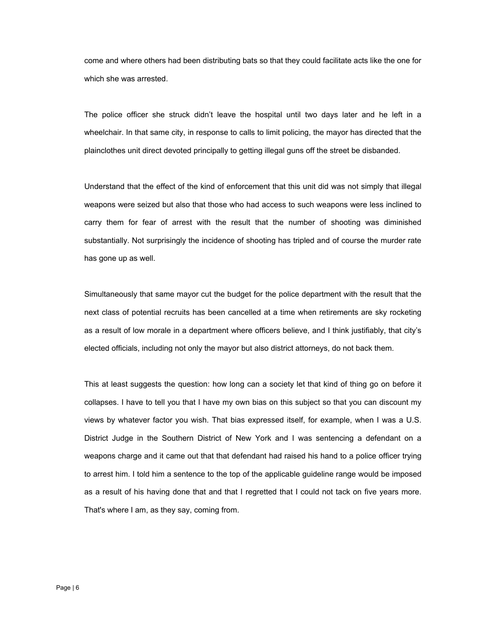come and where others had been distributing bats so that they could facilitate acts like the one for which she was arrested.

The police officer she struck didn't leave the hospital until two days later and he left in a wheelchair. In that same city, in response to calls to limit policing, the mayor has directed that the plainclothes unit direct devoted principally to getting illegal guns off the street be disbanded.

 substantially. Not surprisingly the incidence of shooting has tripled and of course the murder rate Understand that the effect of the kind of enforcement that this unit did was not simply that illegal weapons were seized but also that those who had access to such weapons were less inclined to carry them for fear of arrest with the result that the number of shooting was diminished has gone up as well.

Simultaneously that same mayor cut the budget for the police department with the result that the next class of potential recruits has been cancelled at a time when retirements are sky rocketing as a result of low morale in a department where officers believe, and I think justifiably, that city's elected officials, including not only the mayor but also district attorneys, do not back them.

This at least suggests the question: how long can a society let that kind of thing go on before it collapses. I have to tell you that I have my own bias on this subject so that you can discount my views by whatever factor you wish. That bias expressed itself, for example, when I was a U.S. District Judge in the Southern District of New York and I was sentencing a defendant on a weapons charge and it came out that that defendant had raised his hand to a police officer trying to arrest him. I told him a sentence to the top of the applicable guideline range would be imposed as a result of his having done that and that I regretted that I could not tack on five years more. That's where I am, as they say, coming from.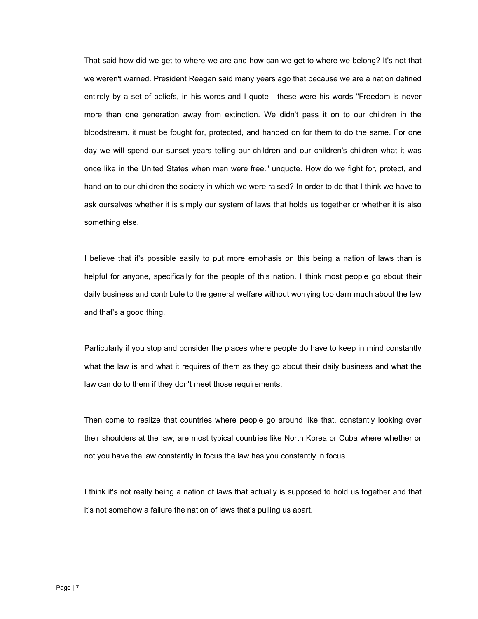That said how did we get to where we are and how can we get to where we belong? It's not that we weren't warned. President Reagan said many years ago that because we are a nation defined entirely by a set of beliefs, in his words and I quote - these were his words "Freedom is never more than one generation away from extinction. We didn't pass it on to our children in the bloodstream. it must be fought for, protected, and handed on for them to do the same. For one day we will spend our sunset years telling our children and our children's children what it was once like in the United States when men were free." unquote. How do we fight for, protect, and hand on to our children the society in which we were raised? In order to do that I think we have to ask ourselves whether it is simply our system of laws that holds us together or whether it is also something else.

I believe that it's possible easily to put more emphasis on this being a nation of laws than is helpful for anyone, specifically for the people of this nation. I think most people go about their daily business and contribute to the general welfare without worrying too darn much about the law and that's a good thing.

Particularly if you stop and consider the places where people do have to keep in mind constantly what the law is and what it requires of them as they go about their daily business and what the law can do to them if they don't meet those requirements.

Then come to realize that countries where people go around like that, constantly looking over their shoulders at the law, are most typical countries like North Korea or Cuba where whether or not you have the law constantly in focus the law has you constantly in focus.

I think it's not really being a nation of laws that actually is supposed to hold us together and that it's not somehow a failure the nation of laws that's pulling us apart.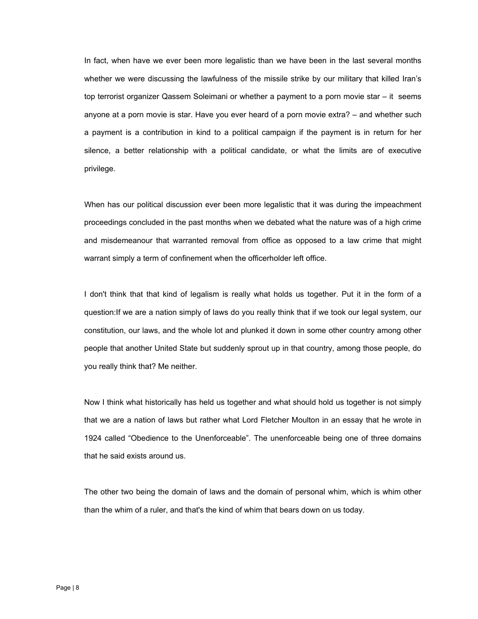In fact, when have we ever been more legalistic than we have been in the last several months whether we were discussing the lawfulness of the missile strike by our military that killed Iran's top terrorist organizer Qassem Soleimani or whether a payment to a porn movie star – it seems anyone at a porn movie is star. Have you ever heard of a porn movie extra? – and whether such a payment is a contribution in kind to a political campaign if the payment is in return for her silence, a better relationship with a political candidate, or what the limits are of executive privilege.

When has our political discussion ever been more legalistic that it was during the impeachment proceedings concluded in the past months when we debated what the nature was of a high crime and misdemeanour that warranted removal from office as opposed to a law crime that might warrant simply a term of confinement when the officerholder left office.

I don't think that that kind of legalism is really what holds us together. Put it in the form of a question:If we are a nation simply of laws do you really think that if we took our legal system, our constitution, our laws, and the whole lot and plunked it down in some other country among other people that another United State but suddenly sprout up in that country, among those people, do you really think that? Me neither.

Now I think what historically has held us together and what should hold us together is not simply that we are a nation of laws but rather what Lord Fletcher Moulton in an essay that he wrote in 1924 called "Obedience to the Unenforceable". The unenforceable being one of three domains that he said exists around us.

The other two being the domain of laws and the domain of personal whim, which is whim other than the whim of a ruler, and that's the kind of whim that bears down on us today.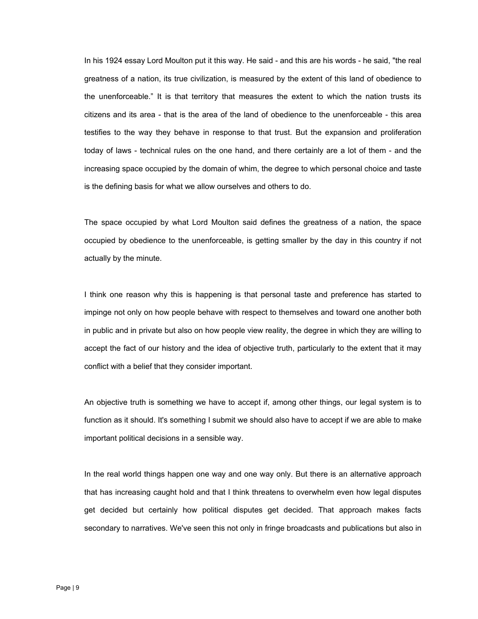citizens and its area - that is the area of the land of obedience to the unenforceable - this area In his 1924 essay Lord Moulton put it this way. He said - and this are his words - he said, "the real greatness of a nation, its true civilization, is measured by the extent of this land of obedience to the unenforceable." It is that territory that measures the extent to which the nation trusts its testifies to the way they behave in response to that trust. But the expansion and proliferation today of laws - technical rules on the one hand, and there certainly are a lot of them - and the increasing space occupied by the domain of whim, the degree to which personal choice and taste is the defining basis for what we allow ourselves and others to do.

The space occupied by what Lord Moulton said defines the greatness of a nation, the space occupied by obedience to the unenforceable, is getting smaller by the day in this country if not actually by the minute.

I think one reason why this is happening is that personal taste and preference has started to impinge not only on how people behave with respect to themselves and toward one another both in public and in private but also on how people view reality, the degree in which they are willing to accept the fact of our history and the idea of objective truth, particularly to the extent that it may conflict with a belief that they consider important.

An objective truth is something we have to accept if, among other things, our legal system is to function as it should. It's something I submit we should also have to accept if we are able to make important political decisions in a sensible way.

In the real world things happen one way and one way only. But there is an alternative approach that has increasing caught hold and that I think threatens to overwhelm even how legal disputes get decided but certainly how political disputes get decided. That approach makes facts secondary to narratives. We've seen this not only in fringe broadcasts and publications but also in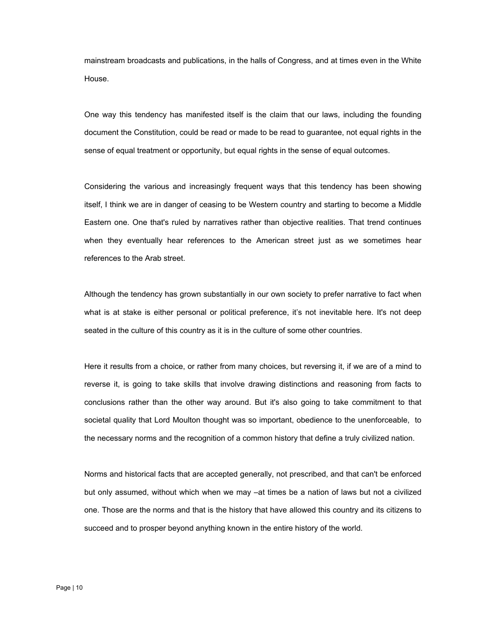mainstream broadcasts and publications, in the halls of Congress, and at times even in the White House.

One way this tendency has manifested itself is the claim that our laws, including the founding document the Constitution, could be read or made to be read to guarantee, not equal rights in the sense of equal treatment or opportunity, but equal rights in the sense of equal outcomes.

Considering the various and increasingly frequent ways that this tendency has been showing itself, I think we are in danger of ceasing to be Western country and starting to become a Middle Eastern one. One that's ruled by narratives rather than objective realities. That trend continues when they eventually hear references to the American street just as we sometimes hear references to the Arab street.

Although the tendency has grown substantially in our own society to prefer narrative to fact when what is at stake is either personal or political preference, it's not inevitable here. It's not deep seated in the culture of this country as it is in the culture of some other countries.

Here it results from a choice, or rather from many choices, but reversing it, if we are of a mind to reverse it, is going to take skills that involve drawing distinctions and reasoning from facts to conclusions rather than the other way around. But it's also going to take commitment to that societal quality that Lord Moulton thought was so important, obedience to the unenforceable, to the necessary norms and the recognition of a common history that define a truly civilized nation.

Norms and historical facts that are accepted generally, not prescribed, and that can't be enforced but only assumed, without which when we may –at times be a nation of laws but not a civilized one. Those are the norms and that is the history that have allowed this country and its citizens to succeed and to prosper beyond anything known in the entire history of the world.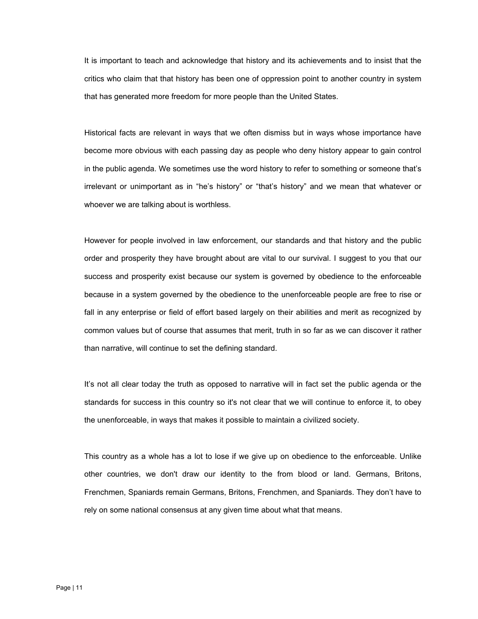It is important to teach and acknowledge that history and its achievements and to insist that the critics who claim that that history has been one of oppression point to another country in system that has generated more freedom for more people than the United States.

Historical facts are relevant in ways that we often dismiss but in ways whose importance have become more obvious with each passing day as people who deny history appear to gain control in the public agenda. We sometimes use the word history to refer to something or someone that's irrelevant or unimportant as in "he's history" or "that's history" and we mean that whatever or whoever we are talking about is worthless.

However for people involved in law enforcement, our standards and that history and the public order and prosperity they have brought about are vital to our survival. I suggest to you that our success and prosperity exist because our system is governed by obedience to the enforceable because in a system governed by the obedience to the unenforceable people are free to rise or fall in any enterprise or field of effort based largely on their abilities and merit as recognized by common values but of course that assumes that merit, truth in so far as we can discover it rather than narrative, will continue to set the defining standard.

It's not all clear today the truth as opposed to narrative will in fact set the public agenda or the standards for success in this country so it's not clear that we will continue to enforce it, to obey the unenforceable, in ways that makes it possible to maintain a civilized society.

This country as a whole has a lot to lose if we give up on obedience to the enforceable. Unlike other countries, we don't draw our identity to the from blood or land. Germans, Britons, Frenchmen, Spaniards remain Germans, Britons, Frenchmen, and Spaniards. They don't have to rely on some national consensus at any given time about what that means.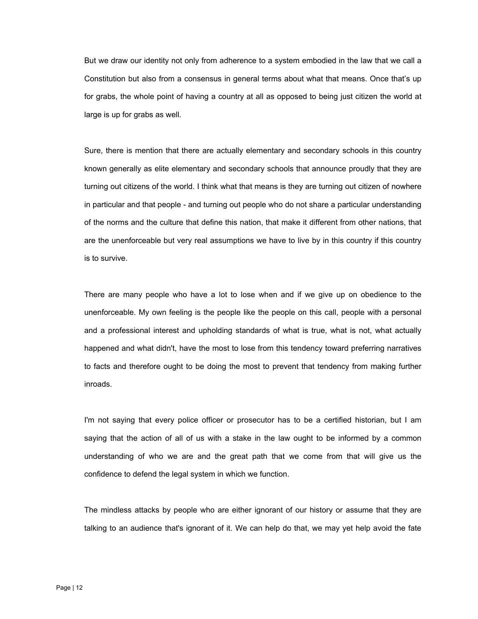But we draw our identity not only from adherence to a system embodied in the law that we call a Constitution but also from a consensus in general terms about what that means. Once that's up for grabs, the whole point of having a country at all as opposed to being just citizen the world at large is up for grabs as well.

Sure, there is mention that there are actually elementary and secondary schools in this country known generally as elite elementary and secondary schools that announce proudly that they are turning out citizens of the world. I think what that means is they are turning out citizen of nowhere in particular and that people - and turning out people who do not share a particular understanding of the norms and the culture that define this nation, that make it different from other nations, that are the unenforceable but very real assumptions we have to live by in this country if this country is to survive.

There are many people who have a lot to lose when and if we give up on obedience to the unenforceable. My own feeling is the people like the people on this call, people with a personal and a professional interest and upholding standards of what is true, what is not, what actually happened and what didn't, have the most to lose from this tendency toward preferring narratives to facts and therefore ought to be doing the most to prevent that tendency from making further inroads.

I'm not saying that every police officer or prosecutor has to be a certified historian, but I am saying that the action of all of us with a stake in the law ought to be informed by a common understanding of who we are and the great path that we come from that will give us the confidence to defend the legal system in which we function.

The mindless attacks by people who are either ignorant of our history or assume that they are talking to an audience that's ignorant of it. We can help do that, we may yet help avoid the fate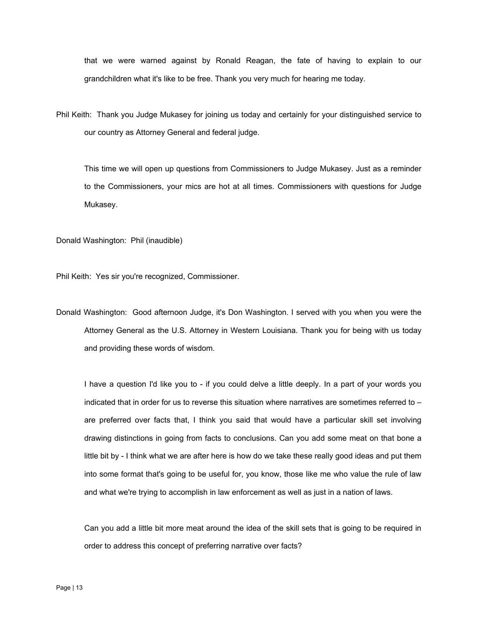that we were warned against by Ronald Reagan, the fate of having to explain to our grandchildren what it's like to be free. Thank you very much for hearing me today.

Phil Keith: Thank you Judge Mukasey for joining us today and certainly for your distinguished service to our country as Attorney General and federal judge.

Mukasey. This time we will open up questions from Commissioners to Judge Mukasey. Just as a reminder to the Commissioners, your mics are hot at all times. Commissioners with questions for Judge

Donald Washington: Phil (inaudible)

Phil Keith: Yes sir you're recognized, Commissioner.

Donald Washington: Good afternoon Judge, it's Don Washington. I served with you when you were the Attorney General as the U.S. Attorney in Western Louisiana. Thank you for being with us today and providing these words of wisdom.

I have a question I'd like you to - if you could delve a little deeply. In a part of your words you indicated that in order for us to reverse this situation where narratives are sometimes referred to – are preferred over facts that, I think you said that would have a particular skill set involving drawing distinctions in going from facts to conclusions. Can you add some meat on that bone a little bit by - I think what we are after here is how do we take these really good ideas and put them into some format that's going to be useful for, you know, those like me who value the rule of law and what we're trying to accomplish in law enforcement as well as just in a nation of laws.

Can you add a little bit more meat around the idea of the skill sets that is going to be required in order to address this concept of preferring narrative over facts?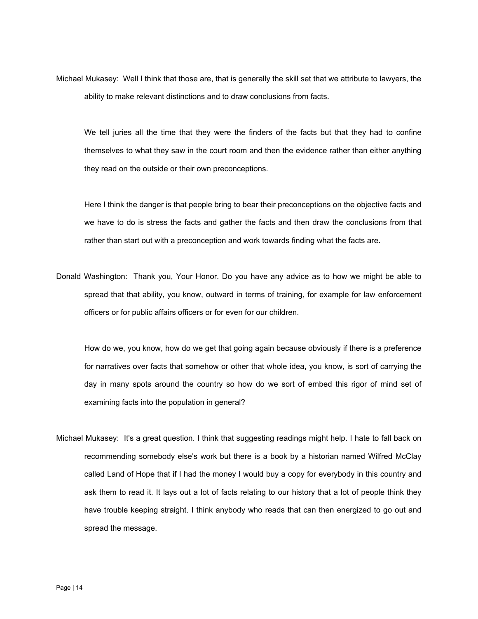Michael Mukasey: Well I think that those are, that is generally the skill set that we attribute to lawyers, the ability to make relevant distinctions and to draw conclusions from facts.

We tell juries all the time that they were the finders of the facts but that they had to confine themselves to what they saw in the court room and then the evidence rather than either anything they read on the outside or their own preconceptions.

Here I think the danger is that people bring to bear their preconceptions on the objective facts and we have to do is stress the facts and gather the facts and then draw the conclusions from that rather than start out with a preconception and work towards finding what the facts are.

Donald Washington: Thank you, Your Honor. Do you have any advice as to how we might be able to spread that that ability, you know, outward in terms of training, for example for law enforcement officers or for public affairs officers or for even for our children.

How do we, you know, how do we get that going again because obviously if there is a preference for narratives over facts that somehow or other that whole idea, you know, is sort of carrying the day in many spots around the country so how do we sort of embed this rigor of mind set of examining facts into the population in general?

Michael Mukasey: It's a great question. I think that suggesting readings might help. I hate to fall back on recommending somebody else's work but there is a book by a historian named Wilfred McClay called Land of Hope that if I had the money I would buy a copy for everybody in this country and ask them to read it. It lays out a lot of facts relating to our history that a lot of people think they have trouble keeping straight. I think anybody who reads that can then energized to go out and spread the message.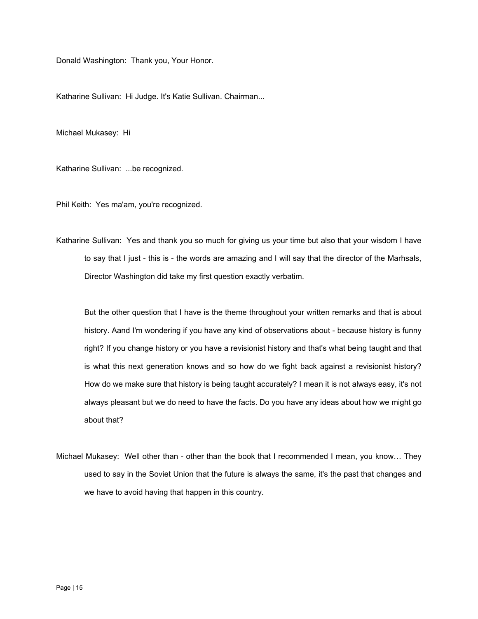Donald Washington: Thank you, Your Honor.

Katharine Sullivan: Hi Judge. It's Katie Sullivan. Chairman...

Michael Mukasey: Hi

Katharine Sullivan: ...be recognized.

Phil Keith: Yes ma'am, you're recognized.

Katharine Sullivan: Yes and thank you so much for giving us your time but also that your wisdom I have to say that I just - this is - the words are amazing and I will say that the director of the Marhsals, Director Washington did take my first question exactly verbatim.

But the other question that I have is the theme throughout your written remarks and that is about history. Aand I'm wondering if you have any kind of observations about - because history is funny right? If you change history or you have a revisionist history and that's what being taught and that is what this next generation knows and so how do we fight back against a revisionist history? How do we make sure that history is being taught accurately? I mean it is not always easy, it's not always pleasant but we do need to have the facts. Do you have any ideas about how we might go about that?

Michael Mukasey: Well other than - other than the book that I recommended I mean, you know… They used to say in the Soviet Union that the future is always the same, it's the past that changes and we have to avoid having that happen in this country.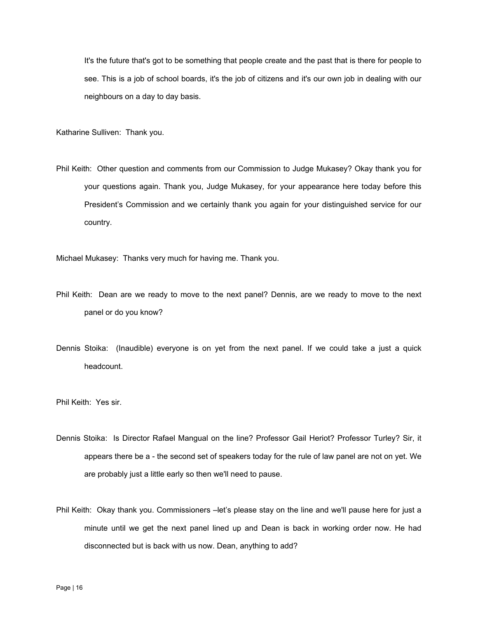It's the future that's got to be something that people create and the past that is there for people to see. This is a job of school boards, it's the job of citizens and it's our own job in dealing with our neighbours on a day to day basis.

Katharine Sulliven: Thank you.

Phil Keith: Other question and comments from our Commission to Judge Mukasey? Okay thank you for your questions again. Thank you, Judge Mukasey, for your appearance here today before this President's Commission and we certainly thank you again for your distinguished service for our country.

Michael Mukasey: Thanks very much for having me. Thank you.

- Phil Keith: Dean are we ready to move to the next panel? Dennis, are we ready to move to the next panel or do you know?
- Dennis Stoika: (Inaudible) everyone is on yet from the next panel. If we could take a just a quick headcount.

Phil Keith: Yes sir.

- Dennis Stoika: Is Director Rafael Mangual on the line? Professor Gail Heriot? Professor Turley? Sir, it appears there be a - the second set of speakers today for the rule of law panel are not on yet. We are probably just a little early so then we'll need to pause.
- Phil Keith: Okay thank you. Commissioners –let's please stay on the line and we'll pause here for just a minute until we get the next panel lined up and Dean is back in working order now. He had disconnected but is back with us now. Dean, anything to add?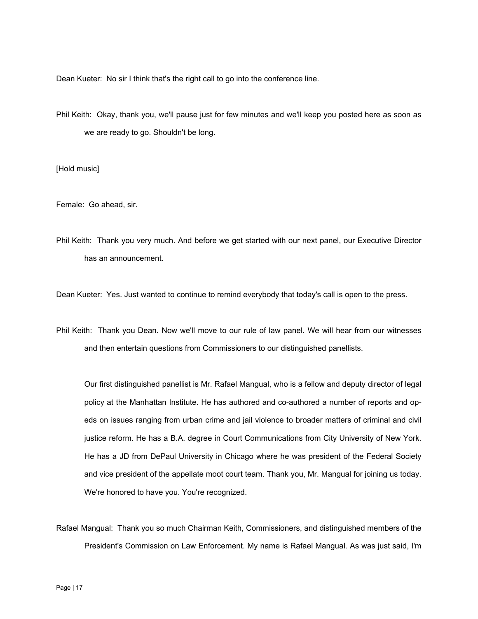Dean Kueter: No sir I think that's the right call to go into the conference line.

Phil Keith: Okay, thank you, we'll pause just for few minutes and we'll keep you posted here as soon as we are ready to go. Shouldn't be long.

## [Hold music]

Female: Go ahead, sir.

Phil Keith: Thank you very much. And before we get started with our next panel, our Executive Director has an announcement.

Dean Kueter: Yes. Just wanted to continue to remind everybody that today's call is open to the press.

Phil Keith: Thank you Dean. Now we'll move to our rule of law panel. We will hear from our witnesses and then entertain questions from Commissioners to our distinguished panellists.

Our first distinguished panellist is Mr. Rafael Mangual, who is a fellow and deputy director of legal policy at the Manhattan Institute. He has authored and co-authored a number of reports and opeds on issues ranging from urban crime and jail violence to broader matters of criminal and civil justice reform. He has a B.A. degree in Court Communications from City University of New York. He has a JD from DePaul University in Chicago where he was president of the Federal Society and vice president of the appellate moot court team. Thank you, Mr. Mangual for joining us today. We're honored to have you. You're recognized.

Rafael Mangual: Thank you so much Chairman Keith, Commissioners, and distinguished members of the President's Commission on Law Enforcement. My name is Rafael Mangual. As was just said, I'm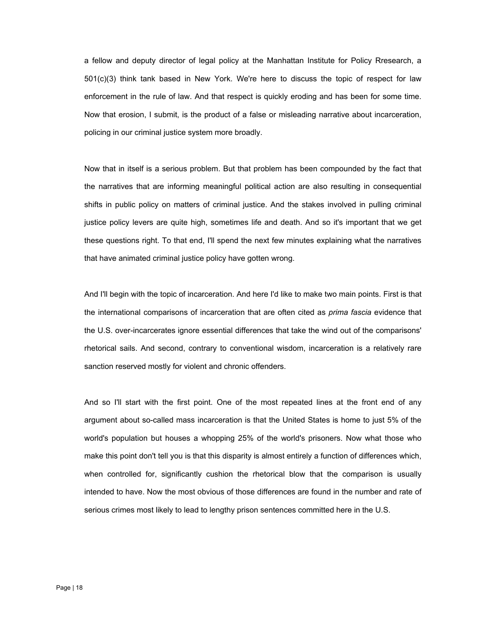a fellow and deputy director of legal policy at the Manhattan Institute for Policy Rresearch, a 501(c)(3) think tank based in New York. We're here to discuss the topic of respect for law enforcement in the rule of law. And that respect is quickly eroding and has been for some time. Now that erosion, I submit, is the product of a false or misleading narrative about incarceration, policing in our criminal justice system more broadly.

Now that in itself is a serious problem. But that problem has been compounded by the fact that the narratives that are informing meaningful political action are also resulting in consequential shifts in public policy on matters of criminal justice. And the stakes involved in pulling criminal justice policy levers are quite high, sometimes life and death. And so it's important that we get these questions right. To that end, I'll spend the next few minutes explaining what the narratives that have animated criminal justice policy have gotten wrong.

And I'll begin with the topic of incarceration. And here I'd like to make two main points. First is that the international comparisons of incarceration that are often cited as *prima fascia* evidence that the U.S. over-incarcerates ignore essential differences that take the wind out of the comparisons' rhetorical sails. And second, contrary to conventional wisdom, incarceration is a relatively rare sanction reserved mostly for violent and chronic offenders.

And so I'll start with the first point. One of the most repeated lines at the front end of any argument about so-called mass incarceration is that the United States is home to just 5% of the world's population but houses a whopping 25% of the world's prisoners. Now what those who make this point don't tell you is that this disparity is almost entirely a function of differences which, when controlled for, significantly cushion the rhetorical blow that the comparison is usually intended to have. Now the most obvious of those differences are found in the number and rate of serious crimes most likely to lead to lengthy prison sentences committed here in the U.S.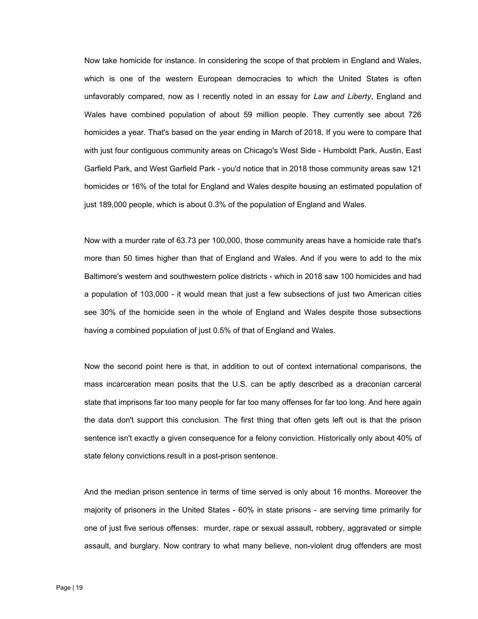Now take homicide for instance. In considering the scope of that problem in England and Wales, which is one of the western European democracies to which the United States is often unfavorably compared, now as I recently noted in an essay for *Law and Liberty*, England and Wales have combined population of about 59 million people. They currently see about 726 homicides a year. That's based on the year ending in March of 2018. If you were to compare that with just four contiguous community areas on Chicago's West Side - Humboldt Park, Austin, East Garfield Park, and West Garfield Park - you'd notice that in 2018 those community areas saw 121 homicides or 16% of the total for England and Wales despite housing an estimated population of just 189,000 people, which is about 0.3% of the population of England and Wales.

Now with a murder rate of 63.73 per 100,000, those community areas have a homicide rate that's more than 50 times higher than that of England and Wales. And if you were to add to the mix Baltimore's western and southwestern police districts - which in 2018 saw 100 homicides and had a population of 103,000 - it would mean that just a few subsections of just two American cities see 30% of the homicide seen in the whole of England and Wales despite those subsections having a combined population of just 0.5% of that of England and Wales.

Now the second point here is that, in addition to out of context international comparisons, the mass incarceration mean posits that the U.S. can be aptly described as a draconian carceral state that imprisons far too many people for far too many offenses for far too long. And here again the data don't support this conclusion. The first thing that often gets left out is that the prison sentence isn't exactly a given consequence for a felony conviction. Historically only about 40% of state felony convictions result in a post-prison sentence.

And the median prison sentence in terms of time served is only about 16 months. Moreover the majority of prisoners in the United States - 60% in state prisons - are serving time primarily for one of just five serious offenses: murder, rape or sexual assault, robbery, aggravated or simple assault, and burglary. Now contrary to what many believe, non-violent drug offenders are most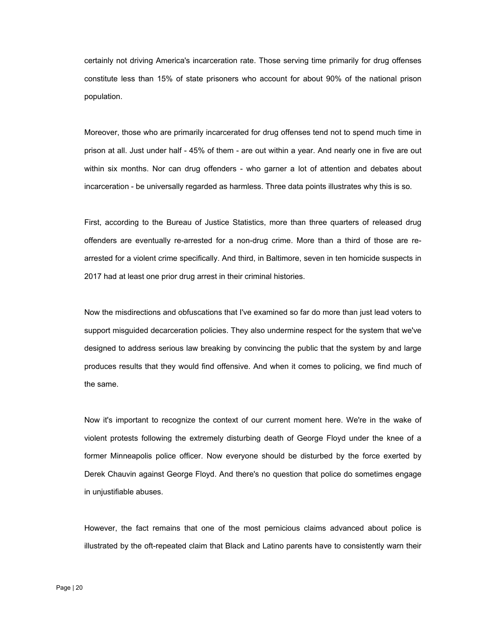certainly not driving America's incarceration rate. Those serving time primarily for drug offenses constitute less than 15% of state prisoners who account for about 90% of the national prison population.

Moreover, those who are primarily incarcerated for drug offenses tend not to spend much time in prison at all. Just under half - 45% of them - are out within a year. And nearly one in five are out within six months. Nor can drug offenders - who garner a lot of attention and debates about incarceration - be universally regarded as harmless. Three data points illustrates why this is so.

First, according to the Bureau of Justice Statistics, more than three quarters of released drug offenders are eventually re-arrested for a non-drug crime. More than a third of those are rearrested for a violent crime specifically. And third, in Baltimore, seven in ten homicide suspects in 2017 had at least one prior drug arrest in their criminal histories.

Now the misdirections and obfuscations that I've examined so far do more than just lead voters to support misguided decarceration policies. They also undermine respect for the system that we've designed to address serious law breaking by convincing the public that the system by and large produces results that they would find offensive. And when it comes to policing, we find much of the same.

Now it's important to recognize the context of our current moment here. We're in the wake of violent protests following the extremely disturbing death of George Floyd under the knee of a former Minneapolis police officer. Now everyone should be disturbed by the force exerted by Derek Chauvin against George Floyd. And there's no question that police do sometimes engage in unjustifiable abuses.

However, the fact remains that one of the most pernicious claims advanced about police is illustrated by the oft-repeated claim that Black and Latino parents have to consistently warn their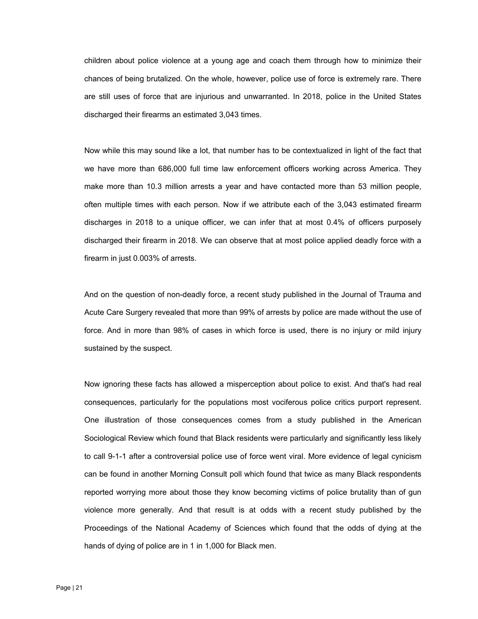children about police violence at a young age and coach them through how to minimize their chances of being brutalized. On the whole, however, police use of force is extremely rare. There are still uses of force that are injurious and unwarranted. In 2018, police in the United States discharged their firearms an estimated 3,043 times.

Now while this may sound like a lot, that number has to be contextualized in light of the fact that we have more than 686,000 full time law enforcement officers working across America. They make more than 10.3 million arrests a year and have contacted more than 53 million people, often multiple times with each person. Now if we attribute each of the 3,043 estimated firearm discharges in 2018 to a unique officer, we can infer that at most 0.4% of officers purposely discharged their firearm in 2018. We can observe that at most police applied deadly force with a firearm in just 0.003% of arrests.

And on the question of non-deadly force, a recent study published in the Journal of Trauma and Acute Care Surgery revealed that more than 99% of arrests by police are made without the use of force. And in more than 98% of cases in which force is used, there is no injury or mild injury sustained by the suspect.

Now ignoring these facts has allowed a misperception about police to exist. And that's had real consequences, particularly for the populations most vociferous police critics purport represent. One illustration of those consequences comes from a study published in the American Sociological Review which found that Black residents were particularly and significantly less likely to call 9-1-1 after a controversial police use of force went viral. More evidence of legal cynicism can be found in another Morning Consult poll which found that twice as many Black respondents reported worrying more about those they know becoming victims of police brutality than of gun violence more generally. And that result is at odds with a recent study published by the Proceedings of the National Academy of Sciences which found that the odds of dying at the hands of dying of police are in 1 in 1,000 for Black men.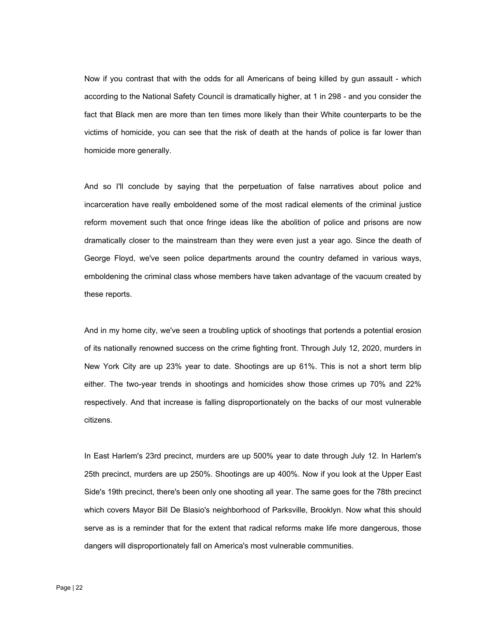Now if you contrast that with the odds for all Americans of being killed by gun assault - which according to the National Safety Council is dramatically higher, at 1 in 298 - and you consider the fact that Black men are more than ten times more likely than their White counterparts to be the victims of homicide, you can see that the risk of death at the hands of police is far lower than homicide more generally.

And so I'll conclude by saying that the perpetuation of false narratives about police and incarceration have really emboldened some of the most radical elements of the criminal justice reform movement such that once fringe ideas like the abolition of police and prisons are now dramatically closer to the mainstream than they were even just a year ago. Since the death of George Floyd, we've seen police departments around the country defamed in various ways, emboldening the criminal class whose members have taken advantage of the vacuum created by these reports.

And in my home city, we've seen a troubling uptick of shootings that portends a potential erosion of its nationally renowned success on the crime fighting front. Through July 12, 2020, murders in New York City are up 23% year to date. Shootings are up 61%. This is not a short term blip either. The two-year trends in shootings and homicides show those crimes up 70% and 22% respectively. And that increase is falling disproportionately on the backs of our most vulnerable citizens.

In East Harlem's 23rd precinct, murders are up 500% year to date through July 12. In Harlem's 25th precinct, murders are up 250%. Shootings are up 400%. Now if you look at the Upper East Side's 19th precinct, there's been only one shooting all year. The same goes for the 78th precinct which covers Mayor Bill De Blasio's neighborhood of Parksville, Brooklyn. Now what this should serve as is a reminder that for the extent that radical reforms make life more dangerous, those dangers will disproportionately fall on America's most vulnerable communities.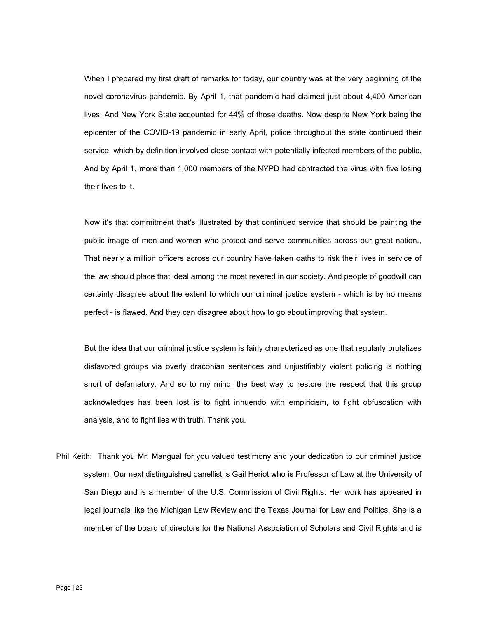When I prepared my first draft of remarks for today, our country was at the very beginning of the novel coronavirus pandemic. By April 1, that pandemic had claimed just about 4,400 American lives. And New York State accounted for 44% of those deaths. Now despite New York being the epicenter of the COVID-19 pandemic in early April, police throughout the state continued their service, which by definition involved close contact with potentially infected members of the public. And by April 1, more than 1,000 members of the NYPD had contracted the virus with five losing their lives to it.

Now it's that commitment that's illustrated by that continued service that should be painting the public image of men and women who protect and serve communities across our great nation., That nearly a million officers across our country have taken oaths to risk their lives in service of the law should place that ideal among the most revered in our society. And people of goodwill can certainly disagree about the extent to which our criminal justice system - which is by no means perfect - is flawed. And they can disagree about how to go about improving that system.

But the idea that our criminal justice system is fairly characterized as one that regularly brutalizes disfavored groups via overly draconian sentences and unjustifiably violent policing is nothing short of defamatory. And so to my mind, the best way to restore the respect that this group acknowledges has been lost is to fight innuendo with empiricism, to fight obfuscation with analysis, and to fight lies with truth. Thank you.

 system. Our next distinguished panellist is Gail Heriot who is Professor of Law at the University of Phil Keith: Thank you Mr. Mangual for you valued testimony and your dedication to our criminal justice San Diego and is a member of the U.S. Commission of Civil Rights. Her work has appeared in legal journals like the Michigan Law Review and the Texas Journal for Law and Politics. She is a member of the board of directors for the National Association of Scholars and Civil Rights and is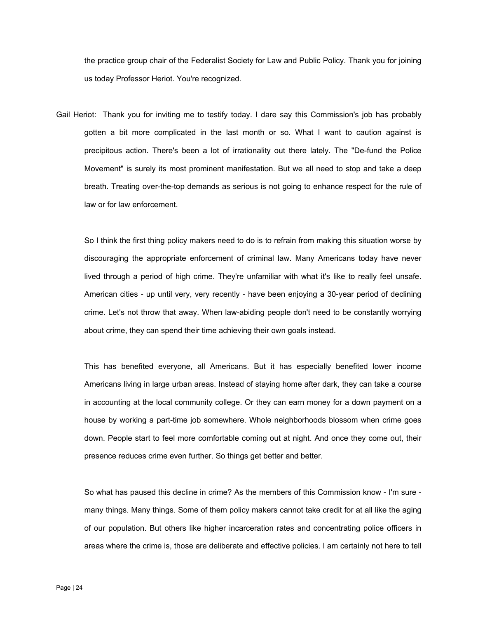the practice group chair of the Federalist Society for Law and Public Policy. Thank you for joining us today Professor Heriot. You're recognized.

Gail Heriot: Thank you for inviting me to testify today. I dare say this Commission's job has probably gotten a bit more complicated in the last month or so. What I want to caution against is precipitous action. There's been a lot of irrationality out there lately. The "De-fund the Police Movement" is surely its most prominent manifestation. But we all need to stop and take a deep breath. Treating over-the-top demands as serious is not going to enhance respect for the rule of law or for law enforcement.

So I think the first thing policy makers need to do is to refrain from making this situation worse by discouraging the appropriate enforcement of criminal law. Many Americans today have never lived through a period of high crime. They're unfamiliar with what it's like to really feel unsafe. American cities - up until very, very recently - have been enjoying a 30-year period of declining crime. Let's not throw that away. When law-abiding people don't need to be constantly worrying about crime, they can spend their time achieving their own goals instead.

This has benefited everyone, all Americans. But it has especially benefited lower income Americans living in large urban areas. Instead of staying home after dark, they can take a course in accounting at the local community college. Or they can earn money for a down payment on a house by working a part-time job somewhere. Whole neighborhoods blossom when crime goes down. People start to feel more comfortable coming out at night. And once they come out, their presence reduces crime even further. So things get better and better.

So what has paused this decline in crime? As the members of this Commission know - I'm sure many things. Many things. Some of them policy makers cannot take credit for at all like the aging of our population. But others like higher incarceration rates and concentrating police officers in areas where the crime is, those are deliberate and effective policies. I am certainly not here to tell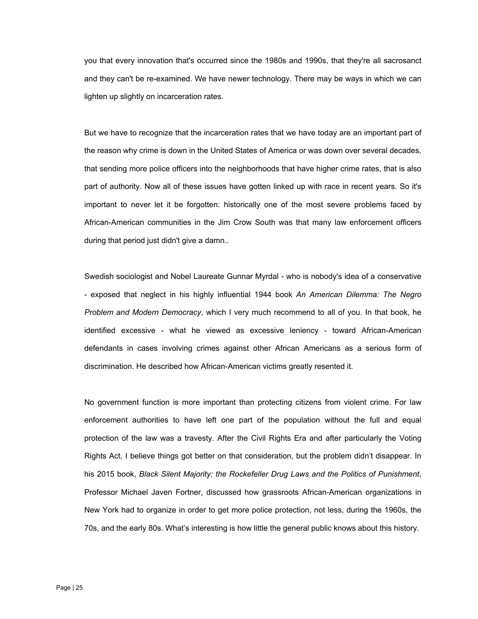you that every innovation that's occurred since the 1980s and 1990s, that they're all sacrosanct and they can't be re-examined. We have newer technology. There may be ways in which we can lighten up slightly on incarceration rates.

But we have to recognize that the incarceration rates that we have today are an important part of the reason why crime is down in the United States of America or was down over several decades, that sending more police officers into the neighborhoods that have higher crime rates, that is also part of authority. Now all of these issues have gotten linked up with race in recent years. So it's important to never let it be forgotten: historically one of the most severe problems faced by African-American communities in the Jim Crow South was that many law enforcement officers during that period just didn't give a damn..

Swedish sociologist and Nobel Laureate Gunnar Myrdal - who is nobody's idea of a conservative - exposed that neglect in his highly influential 1944 book *An American Dilemma: The Negro Problem and Modern Democracy*, which I very much recommend to all of you. In that book, he identified excessive - what he viewed as excessive leniency - toward African-American defendants in cases involving crimes against other African Americans as a serious form of discrimination. He described how African-American victims greatly resented it.

No government function is more important than protecting citizens from violent crime. For law enforcement authorities to have left one part of the population without the full and equal protection of the law was a travesty. After the Civil Rights Era and after particularly the Voting Rights Act, I believe things got better on that consideration, but the problem didn't disappear. In his 2015 book, *Black Silent Majority: the Rockefeller Drug Laws and the Politics of Punishment*, Professor Michael Javen Fortner, discussed how grassroots African-American organizations in New York had to organize in order to get more police protection, not less, during the 1960s, the 70s, and the early 80s. What's interesting is how little the general public knows about this history.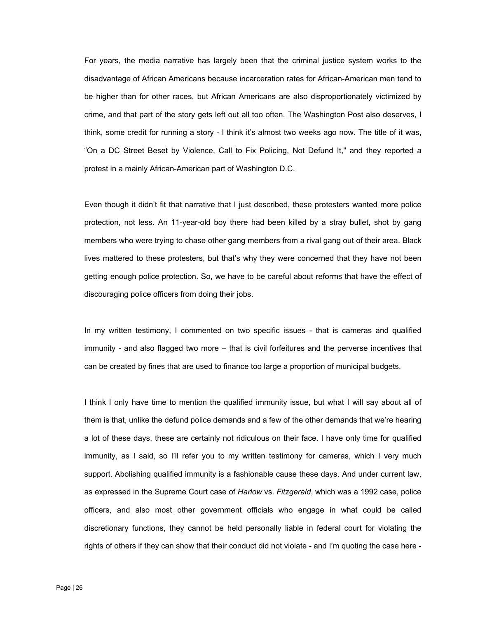For years, the media narrative has largely been that the criminal justice system works to the disadvantage of African Americans because incarceration rates for African-American men tend to be higher than for other races, but African Americans are also disproportionately victimized by crime, and that part of the story gets left out all too often. The Washington Post also deserves, I think, some credit for running a story - I think it's almost two weeks ago now. The title of it was, "On a DC Street Beset by Violence, Call to Fix Policing, Not Defund It," and they reported a protest in a mainly African-American part of Washington D.C.

Even though it didn't fit that narrative that I just described, these protesters wanted more police protection, not less. An 11-year-old boy there had been killed by a stray bullet, shot by gang members who were trying to chase other gang members from a rival gang out of their area. Black lives mattered to these protesters, but that's why they were concerned that they have not been getting enough police protection. So, we have to be careful about reforms that have the effect of discouraging police officers from doing their jobs.

In my written testimony, I commented on two specific issues - that is cameras and qualified immunity - and also flagged two more – that is civil forfeitures and the perverse incentives that can be created by fines that are used to finance too large a proportion of municipal budgets.

I think I only have time to mention the qualified immunity issue, but what I will say about all of them is that, unlike the defund police demands and a few of the other demands that we're hearing a lot of these days, these are certainly not ridiculous on their face. I have only time for qualified immunity, as I said, so I'll refer you to my written testimony for cameras, which I very much support. Abolishing qualified immunity is a fashionable cause these days. And under current law, as expressed in the Supreme Court case of *Harlow* vs. *Fitzgerald*, which was a 1992 case, police officers, and also most other government officials who engage in what could be called discretionary functions, they cannot be held personally liable in federal court for violating the rights of others if they can show that their conduct did not violate - and I'm quoting the case here -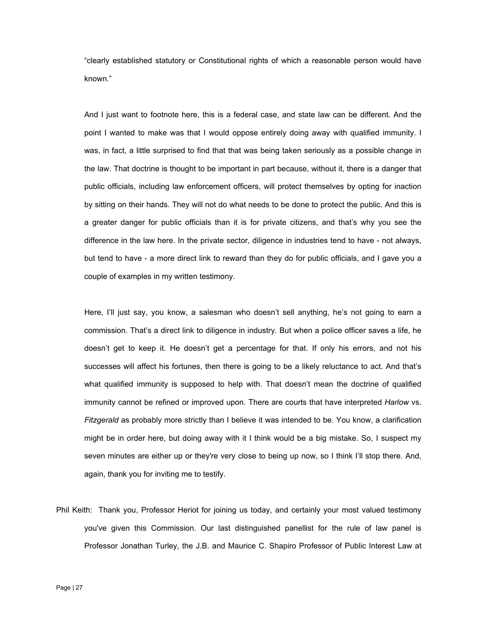"clearly established statutory or Constitutional rights of which a reasonable person would have known."

And I just want to footnote here, this is a federal case, and state law can be different. And the point I wanted to make was that I would oppose entirely doing away with qualified immunity. I was, in fact, a little surprised to find that that was being taken seriously as a possible change in the law. That doctrine is thought to be important in part because, without it, there is a danger that public officials, including law enforcement officers, will protect themselves by opting for inaction by sitting on their hands. They will not do what needs to be done to protect the public. And this is a greater danger for public officials than it is for private citizens, and that's why you see the difference in the law here. In the private sector, diligence in industries tend to have - not always, but tend to have - a more direct link to reward than they do for public officials, and I gave you a couple of examples in my written testimony.

Here, I'll just say, you know, a salesman who doesn't sell anything, he's not going to earn a commission. That's a direct link to diligence in industry. But when a police officer saves a life, he doesn't get to keep it. He doesn't get a percentage for that. If only his errors, and not his successes will affect his fortunes, then there is going to be a likely reluctance to act. And that's what qualified immunity is supposed to help with. That doesn't mean the doctrine of qualified immunity cannot be refined or improved upon. There are courts that have interpreted *Harlow* vs. *Fitzgerald* as probably more strictly than I believe it was intended to be. You know, a clarification might be in order here, but doing away with it I think would be a big mistake. So, I suspect my seven minutes are either up or they're very close to being up now, so I think I'll stop there. And, again, thank you for inviting me to testify.

Phil Keith: Thank you, Professor Heriot for joining us today, and certainly your most valued testimony you've given this Commission. Our last distinguished panellist for the rule of law panel is Professor Jonathan Turley, the J.B. and Maurice C. Shapiro Professor of Public Interest Law at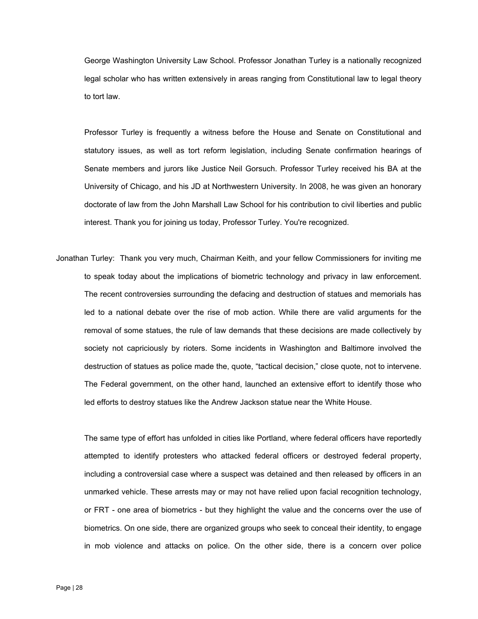George Washington University Law School. Professor Jonathan Turley is a nationally recognized legal scholar who has written extensively in areas ranging from Constitutional law to legal theory to tort law.

Professor Turley is frequently a witness before the House and Senate on Constitutional and statutory issues, as well as tort reform legislation, including Senate confirmation hearings of Senate members and jurors like Justice Neil Gorsuch. Professor Turley received his BA at the University of Chicago, and his JD at Northwestern University. In 2008, he was given an honorary doctorate of law from the John Marshall Law School for his contribution to civil liberties and public interest. Thank you for joining us today, Professor Turley. You're recognized.

Jonathan Turley: Thank you very much, Chairman Keith, and your fellow Commissioners for inviting me to speak today about the implications of biometric technology and privacy in law enforcement. The recent controversies surrounding the defacing and destruction of statues and memorials has led to a national debate over the rise of mob action. While there are valid arguments for the removal of some statues, the rule of law demands that these decisions are made collectively by society not capriciously by rioters. Some incidents in Washington and Baltimore involved the destruction of statues as police made the, quote, "tactical decision," close quote, not to intervene. The Federal government, on the other hand, launched an extensive effort to identify those who led efforts to destroy statues like the Andrew Jackson statue near the White House.

The same type of effort has unfolded in cities like Portland, where federal officers have reportedly attempted to identify protesters who attacked federal officers or destroyed federal property, including a controversial case where a suspect was detained and then released by officers in an unmarked vehicle. These arrests may or may not have relied upon facial recognition technology, or FRT - one area of biometrics - but they highlight the value and the concerns over the use of biometrics. On one side, there are organized groups who seek to conceal their identity, to engage in mob violence and attacks on police. On the other side, there is a concern over police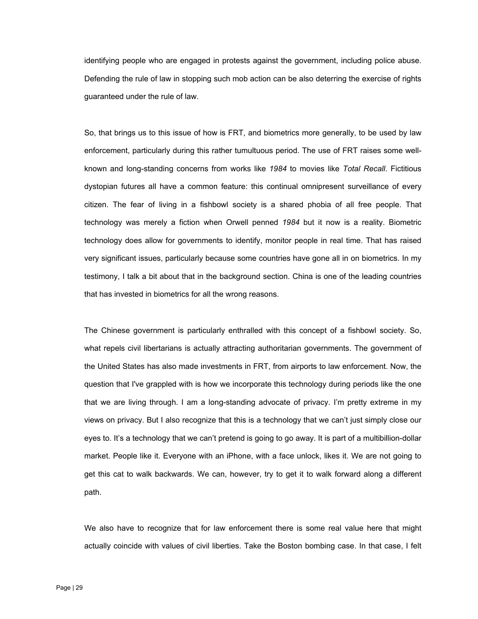identifying people who are engaged in protests against the government, including police abuse. Defending the rule of law in stopping such mob action can be also deterring the exercise of rights guaranteed under the rule of law.

So, that brings us to this issue of how is FRT, and biometrics more generally, to be used by law enforcement, particularly during this rather tumultuous period. The use of FRT raises some wellknown and long-standing concerns from works like *1984* to movies like *Total Recall*. Fictitious dystopian futures all have a common feature: this continual omnipresent surveillance of every citizen. The fear of living in a fishbowl society is a shared phobia of all free people. That technology was merely a fiction when Orwell penned *1984* but it now is a reality. Biometric technology does allow for governments to identify, monitor people in real time. That has raised very significant issues, particularly because some countries have gone all in on biometrics. In my testimony, I talk a bit about that in the background section. China is one of the leading countries that has invested in biometrics for all the wrong reasons.

The Chinese government is particularly enthralled with this concept of a fishbowl society. So, what repels civil libertarians is actually attracting authoritarian governments. The government of the United States has also made investments in FRT, from airports to law enforcement. Now, the question that I've grappled with is how we incorporate this technology during periods like the one that we are living through. I am a long-standing advocate of privacy. I'm pretty extreme in my views on privacy. But I also recognize that this is a technology that we can't just simply close our eyes to. It's a technology that we can't pretend is going to go away. It is part of a multibillion-dollar market. People like it. Everyone with an iPhone, with a face unlock, likes it. We are not going to get this cat to walk backwards. We can, however, try to get it to walk forward along a different path.

We also have to recognize that for law enforcement there is some real value here that might actually coincide with values of civil liberties. Take the Boston bombing case. In that case, I felt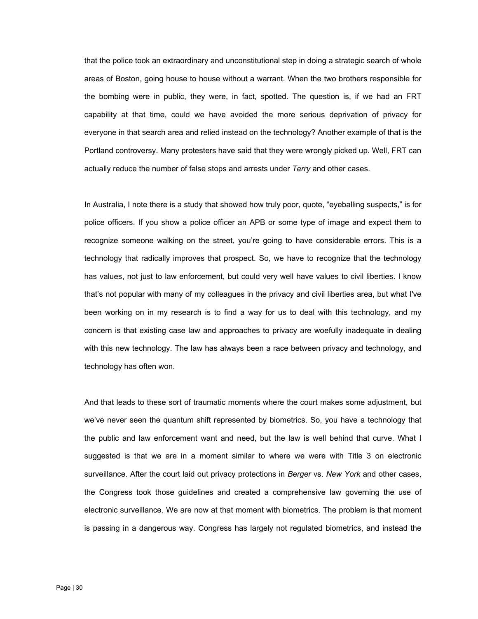that the police took an extraordinary and unconstitutional step in doing a strategic search of whole areas of Boston, going house to house without a warrant. When the two brothers responsible for the bombing were in public, they were, in fact, spotted. The question is, if we had an FRT capability at that time, could we have avoided the more serious deprivation of privacy for everyone in that search area and relied instead on the technology? Another example of that is the Portland controversy. Many protesters have said that they were wrongly picked up. Well, FRT can actually reduce the number of false stops and arrests under *Terry* and other cases.

In Australia, I note there is a study that showed how truly poor, quote, "eyeballing suspects," is for police officers. If you show a police officer an APB or some type of image and expect them to recognize someone walking on the street, you're going to have considerable errors. This is a technology that radically improves that prospect. So, we have to recognize that the technology has values, not just to law enforcement, but could very well have values to civil liberties. I know that's not popular with many of my colleagues in the privacy and civil liberties area, but what I've been working on in my research is to find a way for us to deal with this technology, and my concern is that existing case law and approaches to privacy are woefully inadequate in dealing with this new technology. The law has always been a race between privacy and technology, and technology has often won.

And that leads to these sort of traumatic moments where the court makes some adjustment, but we've never seen the quantum shift represented by biometrics. So, you have a technology that the public and law enforcement want and need, but the law is well behind that curve. What I suggested is that we are in a moment similar to where we were with Title 3 on electronic surveillance. After the court laid out privacy protections in *Berger* vs. *New York* and other cases, the Congress took those guidelines and created a comprehensive law governing the use of electronic surveillance. We are now at that moment with biometrics. The problem is that moment is passing in a dangerous way. Congress has largely not regulated biometrics, and instead the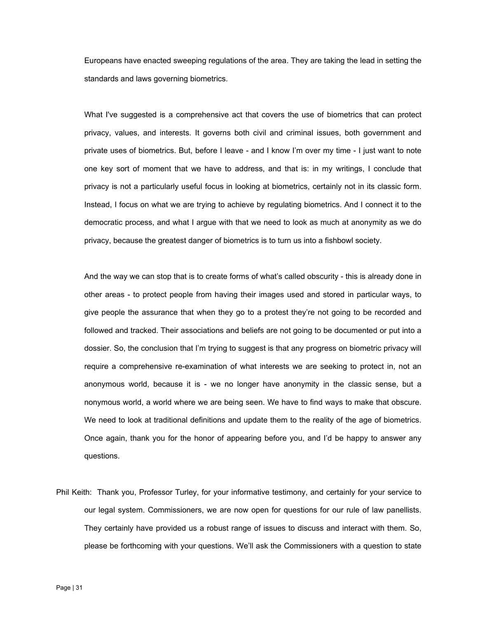Europeans have enacted sweeping regulations of the area. They are taking the lead in setting the standards and laws governing biometrics.

What I've suggested is a comprehensive act that covers the use of biometrics that can protect privacy, values, and interests. It governs both civil and criminal issues, both government and private uses of biometrics. But, before I leave - and I know I'm over my time - I just want to note one key sort of moment that we have to address, and that is: in my writings, I conclude that privacy is not a particularly useful focus in looking at biometrics, certainly not in its classic form. Instead, I focus on what we are trying to achieve by regulating biometrics. And I connect it to the democratic process, and what I argue with that we need to look as much at anonymity as we do privacy, because the greatest danger of biometrics is to turn us into a fishbowl society.

And the way we can stop that is to create forms of what's called obscurity - this is already done in other areas - to protect people from having their images used and stored in particular ways, to give people the assurance that when they go to a protest they're not going to be recorded and followed and tracked. Their associations and beliefs are not going to be documented or put into a dossier. So, the conclusion that I'm trying to suggest is that any progress on biometric privacy will require a comprehensive re-examination of what interests we are seeking to protect in, not an anonymous world, because it is - we no longer have anonymity in the classic sense, but a nonymous world, a world where we are being seen. We have to find ways to make that obscure. We need to look at traditional definitions and update them to the reality of the age of biometrics. Once again, thank you for the honor of appearing before you, and I'd be happy to answer any questions.

Phil Keith: Thank you, Professor Turley, for your informative testimony, and certainly for your service to our legal system. Commissioners, we are now open for questions for our rule of law panellists. They certainly have provided us a robust range of issues to discuss and interact with them. So, please be forthcoming with your questions. We'll ask the Commissioners with a question to state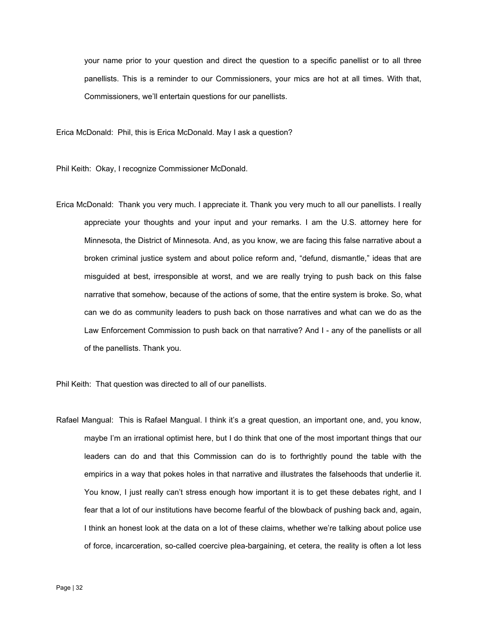your name prior to your question and direct the question to a specific panellist or to all three panellists. This is a reminder to our Commissioners, your mics are hot at all times. With that, Commissioners, we'll entertain questions for our panellists.

Erica McDonald: Phil, this is Erica McDonald. May I ask a question?

Phil Keith: Okay, I recognize Commissioner McDonald.

Erica McDonald: Thank you very much. I appreciate it. Thank you very much to all our panellists. I really appreciate your thoughts and your input and your remarks. I am the U.S. attorney here for Minnesota, the District of Minnesota. And, as you know, we are facing this false narrative about a broken criminal justice system and about police reform and, "defund, dismantle," ideas that are misguided at best, irresponsible at worst, and we are really trying to push back on this false narrative that somehow, because of the actions of some, that the entire system is broke. So, what can we do as community leaders to push back on those narratives and what can we do as the Law Enforcement Commission to push back on that narrative? And I - any of the panellists or all of the panellists. Thank you.

Phil Keith: That question was directed to all of our panellists.

Rafael Mangual: This is Rafael Mangual. I think it's a great question, an important one, and, you know, maybe I'm an irrational optimist here, but I do think that one of the most important things that our leaders can do and that this Commission can do is to forthrightly pound the table with the empirics in a way that pokes holes in that narrative and illustrates the falsehoods that underlie it. You know, I just really can't stress enough how important it is to get these debates right, and I fear that a lot of our institutions have become fearful of the blowback of pushing back and, again, I think an honest look at the data on a lot of these claims, whether we're talking about police use of force, incarceration, so-called coercive plea-bargaining, et cetera, the reality is often a lot less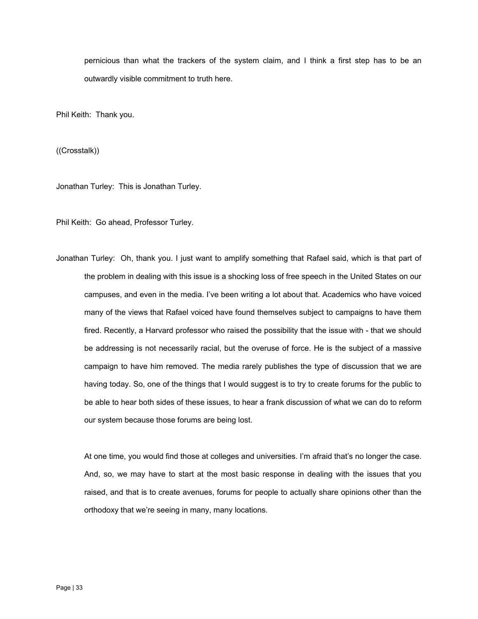pernicious than what the trackers of the system claim, and I think a first step has to be an outwardly visible commitment to truth here.

Phil Keith: Thank you.

((Crosstalk))

Jonathan Turley: This is Jonathan Turley.

Phil Keith: Go ahead, Professor Turley.

Jonathan Turley: Oh, thank you. I just want to amplify something that Rafael said, which is that part of the problem in dealing with this issue is a shocking loss of free speech in the United States on our campuses, and even in the media. I've been writing a lot about that. Academics who have voiced many of the views that Rafael voiced have found themselves subject to campaigns to have them fired. Recently, a Harvard professor who raised the possibility that the issue with - that we should be addressing is not necessarily racial, but the overuse of force. He is the subject of a massive campaign to have him removed. The media rarely publishes the type of discussion that we are having today. So, one of the things that I would suggest is to try to create forums for the public to be able to hear both sides of these issues, to hear a frank discussion of what we can do to reform our system because those forums are being lost.

At one time, you would find those at colleges and universities. I'm afraid that's no longer the case. And, so, we may have to start at the most basic response in dealing with the issues that you raised, and that is to create avenues, forums for people to actually share opinions other than the orthodoxy that we're seeing in many, many locations.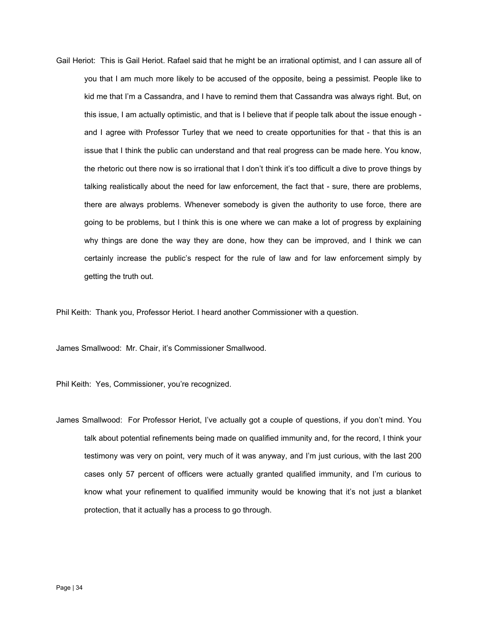Gail Heriot: This is Gail Heriot. Rafael said that he might be an irrational optimist, and I can assure all of you that I am much more likely to be accused of the opposite, being a pessimist. People like to kid me that I'm a Cassandra, and I have to remind them that Cassandra was always right. But, on this issue, I am actually optimistic, and that is I believe that if people talk about the issue enough and I agree with Professor Turley that we need to create opportunities for that - that this is an issue that I think the public can understand and that real progress can be made here. You know, the rhetoric out there now is so irrational that I don't think it's too difficult a dive to prove things by talking realistically about the need for law enforcement, the fact that - sure, there are problems, there are always problems. Whenever somebody is given the authority to use force, there are going to be problems, but I think this is one where we can make a lot of progress by explaining why things are done the way they are done, how they can be improved, and I think we can certainly increase the public's respect for the rule of law and for law enforcement simply by getting the truth out.

Phil Keith: Thank you, Professor Heriot. I heard another Commissioner with a question.

James Smallwood: Mr. Chair, it's Commissioner Smallwood.

Phil Keith: Yes, Commissioner, you're recognized.

James Smallwood: For Professor Heriot, I've actually got a couple of questions, if you don't mind. You talk about potential refinements being made on qualified immunity and, for the record, I think your testimony was very on point, very much of it was anyway, and I'm just curious, with the last 200 cases only 57 percent of officers were actually granted qualified immunity, and I'm curious to know what your refinement to qualified immunity would be knowing that it's not just a blanket protection, that it actually has a process to go through.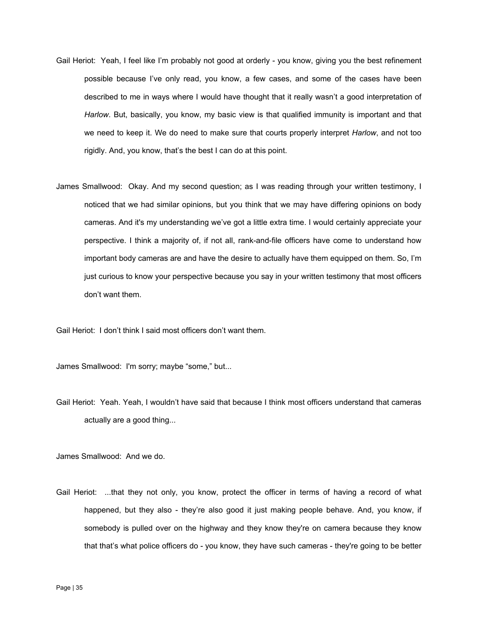- Gail Heriot: Yeah, I feel like I'm probably not good at orderly you know, giving you the best refinement possible because I've only read, you know, a few cases, and some of the cases have been described to me in ways where I would have thought that it really wasn't a good interpretation of *Harlow*. But, basically, you know, my basic view is that qualified immunity is important and that we need to keep it. We do need to make sure that courts properly interpret *Harlow*, and not too rigidly. And, you know, that's the best I can do at this point.
- James Smallwood: Okay. And my second question; as I was reading through your written testimony, I noticed that we had similar opinions, but you think that we may have differing opinions on body cameras. And it's my understanding we've got a little extra time. I would certainly appreciate your perspective. I think a majority of, if not all, rank-and-file officers have come to understand how important body cameras are and have the desire to actually have them equipped on them. So, I'm just curious to know your perspective because you say in your written testimony that most officers don't want them.

Gail Heriot: I don't think I said most officers don't want them.

James Smallwood: I'm sorry; maybe "some," but...

Gail Heriot: Yeah. Yeah, I wouldn't have said that because I think most officers understand that cameras actually are a good thing...

James Smallwood: And we do.

Gail Heriot: ...that they not only, you know, protect the officer in terms of having a record of what happened, but they also - they're also good it just making people behave. And, you know, if somebody is pulled over on the highway and they know they're on camera because they know that that's what police officers do - you know, they have such cameras - they're going to be better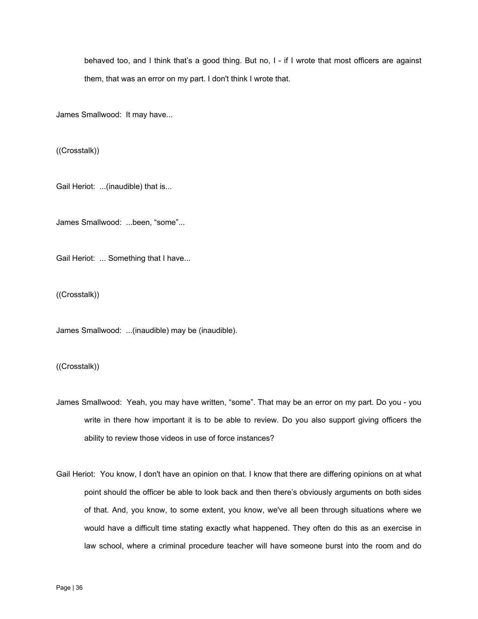behaved too, and I think that's a good thing. But no, I - if I wrote that most officers are against them, that was an error on my part. I don't think I wrote that.

James Smallwood: It may have...

((Crosstalk))

Gail Heriot: ...(inaudible) that is...

James Smallwood: ...been, "some"...

Gail Heriot: ... Something that I have...

((Crosstalk))

James Smallwood: ...(inaudible) may be (inaudible).

((Crosstalk))

- James Smallwood: Yeah, you may have written, "some". That may be an error on my part. Do you you write in there how important it is to be able to review. Do you also support giving officers the ability to review those videos in use of force instances?
- Gail Heriot: You know, I don't have an opinion on that. I know that there are differing opinions on at what point should the officer be able to look back and then there's obviously arguments on both sides of that. And, you know, to some extent, you know, we've all been through situations where we would have a difficult time stating exactly what happened. They often do this as an exercise in law school, where a criminal procedure teacher will have someone burst into the room and do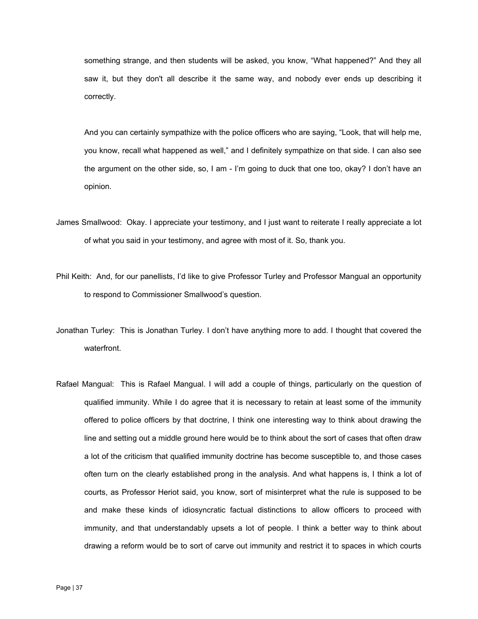something strange, and then students will be asked, you know, "What happened?" And they all saw it, but they don't all describe it the same way, and nobody ever ends up describing it correctly.

And you can certainly sympathize with the police officers who are saying, "Look, that will help me, you know, recall what happened as well," and I definitely sympathize on that side. I can also see the argument on the other side, so, I am - I'm going to duck that one too, okay? I don't have an opinion.

- James Smallwood: Okay. I appreciate your testimony, and I just want to reiterate I really appreciate a lot of what you said in your testimony, and agree with most of it. So, thank you.
- Phil Keith: And, for our panellists, I'd like to give Professor Turley and Professor Mangual an opportunity to respond to Commissioner Smallwood's question.
- Jonathan Turley: This is Jonathan Turley. I don't have anything more to add. I thought that covered the waterfront.
- Rafael Mangual: This is Rafael Mangual. I will add a couple of things, particularly on the question of qualified immunity. While I do agree that it is necessary to retain at least some of the immunity offered to police officers by that doctrine, I think one interesting way to think about drawing the line and setting out a middle ground here would be to think about the sort of cases that often draw a lot of the criticism that qualified immunity doctrine has become susceptible to, and those cases often turn on the clearly established prong in the analysis. And what happens is, I think a lot of courts, as Professor Heriot said, you know, sort of misinterpret what the rule is supposed to be and make these kinds of idiosyncratic factual distinctions to allow officers to proceed with immunity, and that understandably upsets a lot of people. I think a better way to think about drawing a reform would be to sort of carve out immunity and restrict it to spaces in which courts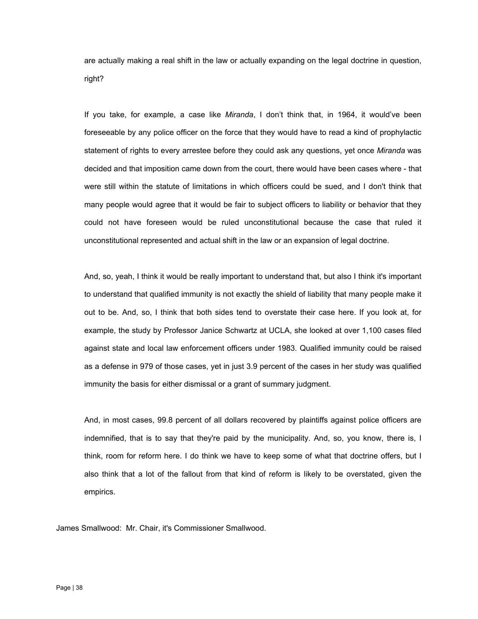are actually making a real shift in the law or actually expanding on the legal doctrine in question, right?

If you take, for example, a case like *Miranda*, I don't think that, in 1964, it would've been foreseeable by any police officer on the force that they would have to read a kind of prophylactic statement of rights to every arrestee before they could ask any questions, yet once *Miranda* was decided and that imposition came down from the court, there would have been cases where - that were still within the statute of limitations in which officers could be sued, and I don't think that many people would agree that it would be fair to subject officers to liability or behavior that they could not have foreseen would be ruled unconstitutional because the case that ruled it unconstitutional represented and actual shift in the law or an expansion of legal doctrine.

And, so, yeah, I think it would be really important to understand that, but also I think it's important to understand that qualified immunity is not exactly the shield of liability that many people make it out to be. And, so, I think that both sides tend to overstate their case here. If you look at, for example, the study by Professor Janice Schwartz at UCLA, she looked at over 1,100 cases filed against state and local law enforcement officers under 1983. Qualified immunity could be raised as a defense in 979 of those cases, yet in just 3.9 percent of the cases in her study was qualified immunity the basis for either dismissal or a grant of summary judgment.

And, in most cases, 99.8 percent of all dollars recovered by plaintiffs against police officers are indemnified, that is to say that they're paid by the municipality. And, so, you know, there is, I think, room for reform here. I do think we have to keep some of what that doctrine offers, but I also think that a lot of the fallout from that kind of reform is likely to be overstated, given the empirics.

James Smallwood: Mr. Chair, it's Commissioner Smallwood.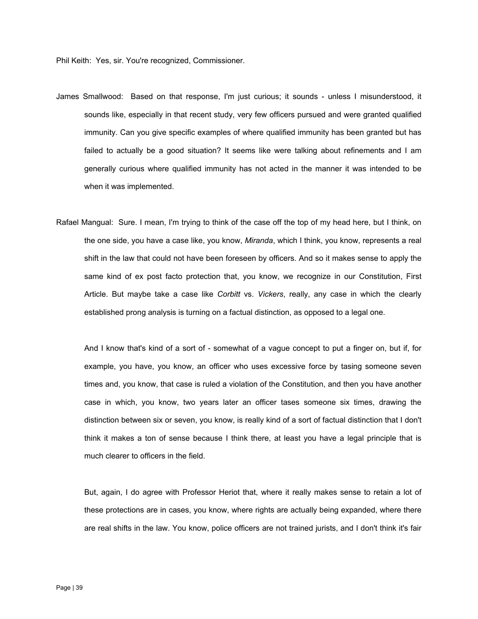Phil Keith: Yes, sir. You're recognized, Commissioner.

- James Smallwood: Based on that response, I'm just curious; it sounds unless I misunderstood, it sounds like, especially in that recent study, very few officers pursued and were granted qualified immunity. Can you give specific examples of where qualified immunity has been granted but has failed to actually be a good situation? It seems like were talking about refinements and I am generally curious where qualified immunity has not acted in the manner it was intended to be when it was implemented.
- Rafael Mangual: Sure. I mean, I'm trying to think of the case off the top of my head here, but I think, on the one side, you have a case like, you know, *Miranda*, which I think, you know, represents a real shift in the law that could not have been foreseen by officers. And so it makes sense to apply the same kind of ex post facto protection that, you know, we recognize in our Constitution, First Article. But maybe take a case like *Corbitt* vs. *Vickers*, really, any case in which the clearly established prong analysis is turning on a factual distinction, as opposed to a legal one.

And I know that's kind of a sort of - somewhat of a vague concept to put a finger on, but if, for example, you have, you know, an officer who uses excessive force by tasing someone seven times and, you know, that case is ruled a violation of the Constitution, and then you have another case in which, you know, two years later an officer tases someone six times, drawing the distinction between six or seven, you know, is really kind of a sort of factual distinction that I don't think it makes a ton of sense because I think there, at least you have a legal principle that is much clearer to officers in the field.

But, again, I do agree with Professor Heriot that, where it really makes sense to retain a lot of these protections are in cases, you know, where rights are actually being expanded, where there are real shifts in the law. You know, police officers are not trained jurists, and I don't think it's fair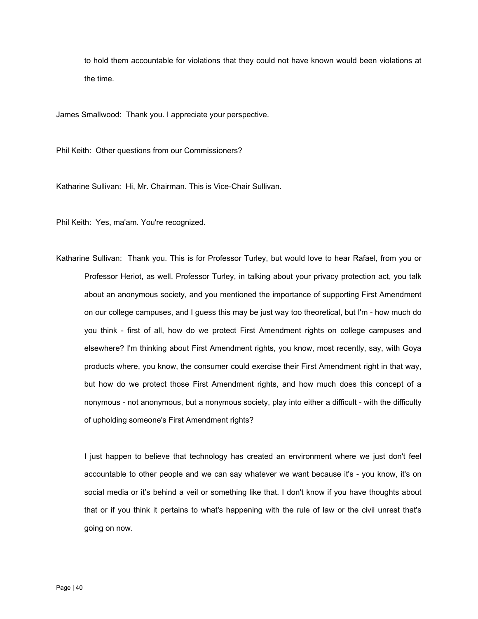to hold them accountable for violations that they could not have known would been violations at the time.

James Smallwood: Thank you. I appreciate your perspective.

Phil Keith: Other questions from our Commissioners?

Katharine Sullivan: Hi, Mr. Chairman. This is Vice-Chair Sullivan.

Phil Keith: Yes, ma'am. You're recognized.

Katharine Sullivan: Thank you. This is for Professor Turley, but would love to hear Rafael, from you or Professor Heriot, as well. Professor Turley, in talking about your privacy protection act, you talk about an anonymous society, and you mentioned the importance of supporting First Amendment on our college campuses, and I guess this may be just way too theoretical, but I'm - how much do you think - first of all, how do we protect First Amendment rights on college campuses and elsewhere? I'm thinking about First Amendment rights, you know, most recently, say, with Goya products where, you know, the consumer could exercise their First Amendment right in that way, but how do we protect those First Amendment rights, and how much does this concept of a nonymous - not anonymous, but a nonymous society, play into either a difficult - with the difficulty of upholding someone's First Amendment rights?

I just happen to believe that technology has created an environment where we just don't feel accountable to other people and we can say whatever we want because it's - you know, it's on social media or it's behind a veil or something like that. I don't know if you have thoughts about that or if you think it pertains to what's happening with the rule of law or the civil unrest that's going on now.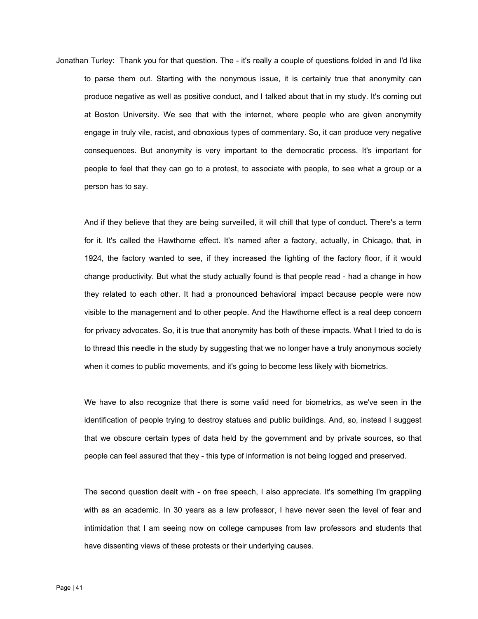Jonathan Turley: Thank you for that question. The - it's really a couple of questions folded in and I'd like to parse them out. Starting with the nonymous issue, it is certainly true that anonymity can produce negative as well as positive conduct, and I talked about that in my study. It's coming out at Boston University. We see that with the internet, where people who are given anonymity engage in truly vile, racist, and obnoxious types of commentary. So, it can produce very negative consequences. But anonymity is very important to the democratic process. It's important for people to feel that they can go to a protest, to associate with people, to see what a group or a person has to say.

And if they believe that they are being surveilled, it will chill that type of conduct. There's a term for it. It's called the Hawthorne effect. It's named after a factory, actually, in Chicago, that, in 1924, the factory wanted to see, if they increased the lighting of the factory floor, if it would change productivity. But what the study actually found is that people read - had a change in how they related to each other. It had a pronounced behavioral impact because people were now visible to the management and to other people. And the Hawthorne effect is a real deep concern for privacy advocates. So, it is true that anonymity has both of these impacts. What I tried to do is to thread this needle in the study by suggesting that we no longer have a truly anonymous society when it comes to public movements, and it's going to become less likely with biometrics.

people can feel assured that they - this type of information is not being logged and preserved. We have to also recognize that there is some valid need for biometrics, as we've seen in the identification of people trying to destroy statues and public buildings. And, so, instead I suggest that we obscure certain types of data held by the government and by private sources, so that

The second question dealt with - on free speech, I also appreciate. It's something I'm grappling with as an academic. In 30 years as a law professor, I have never seen the level of fear and intimidation that I am seeing now on college campuses from law professors and students that have dissenting views of these protests or their underlying causes.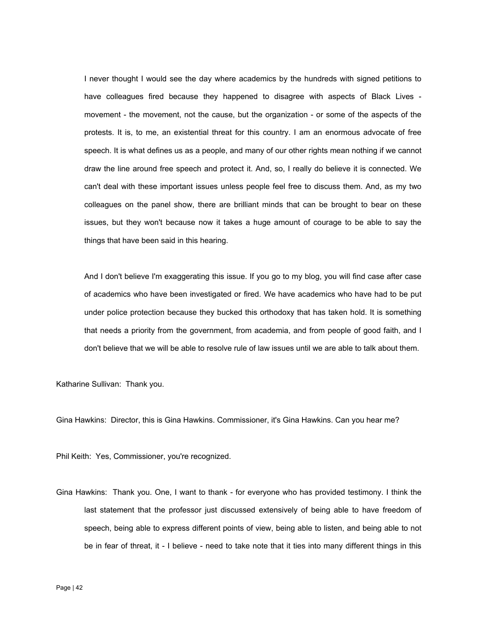I never thought I would see the day where academics by the hundreds with signed petitions to have colleagues fired because they happened to disagree with aspects of Black Lives movement - the movement, not the cause, but the organization - or some of the aspects of the protests. It is, to me, an existential threat for this country. I am an enormous advocate of free speech. It is what defines us as a people, and many of our other rights mean nothing if we cannot draw the line around free speech and protect it. And, so, I really do believe it is connected. We can't deal with these important issues unless people feel free to discuss them. And, as my two colleagues on the panel show, there are brilliant minds that can be brought to bear on these issues, but they won't because now it takes a huge amount of courage to be able to say the things that have been said in this hearing.

And I don't believe I'm exaggerating this issue. If you go to my blog, you will find case after case of academics who have been investigated or fired. We have academics who have had to be put under police protection because they bucked this orthodoxy that has taken hold. It is something that needs a priority from the government, from academia, and from people of good faith, and I don't believe that we will be able to resolve rule of law issues until we are able to talk about them.

Katharine Sullivan: Thank you.

Gina Hawkins: Director, this is Gina Hawkins. Commissioner, it's Gina Hawkins. Can you hear me?

Phil Keith: Yes, Commissioner, you're recognized.

Gina Hawkins: Thank you. One, I want to thank - for everyone who has provided testimony. I think the last statement that the professor just discussed extensively of being able to have freedom of speech, being able to express different points of view, being able to listen, and being able to not be in fear of threat, it - I believe - need to take note that it ties into many different things in this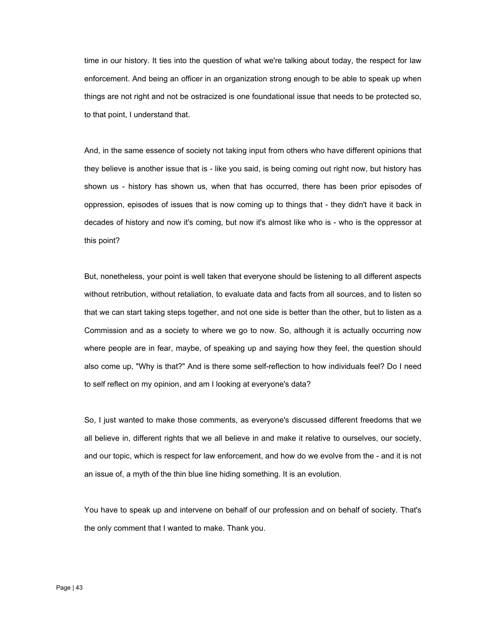time in our history. It ties into the question of what we're talking about today, the respect for law enforcement. And being an officer in an organization strong enough to be able to speak up when things are not right and not be ostracized is one foundational issue that needs to be protected so, to that point, I understand that.

And, in the same essence of society not taking input from others who have different opinions that they believe is another issue that is - like you said, is being coming out right now, but history has shown us - history has shown us, when that has occurred, there has been prior episodes of oppression, episodes of issues that is now coming up to things that - they didn't have it back in decades of history and now it's coming, but now it's almost like who is - who is the oppressor at this point?

But, nonetheless, your point is well taken that everyone should be listening to all different aspects without retribution, without retaliation, to evaluate data and facts from all sources, and to listen so that we can start taking steps together, and not one side is better than the other, but to listen as a Commission and as a society to where we go to now. So, although it is actually occurring now where people are in fear, maybe, of speaking up and saying how they feel, the question should also come up, "Why is that?" And is there some self-reflection to how individuals feel? Do I need to self reflect on my opinion, and am I looking at everyone's data?

So, I just wanted to make those comments, as everyone's discussed different freedoms that we all believe in, different rights that we all believe in and make it relative to ourselves, our society, and our topic, which is respect for law enforcement, and how do we evolve from the - and it is not an issue of, a myth of the thin blue line hiding something. It is an evolution.

You have to speak up and intervene on behalf of our profession and on behalf of society. That's the only comment that I wanted to make. Thank you.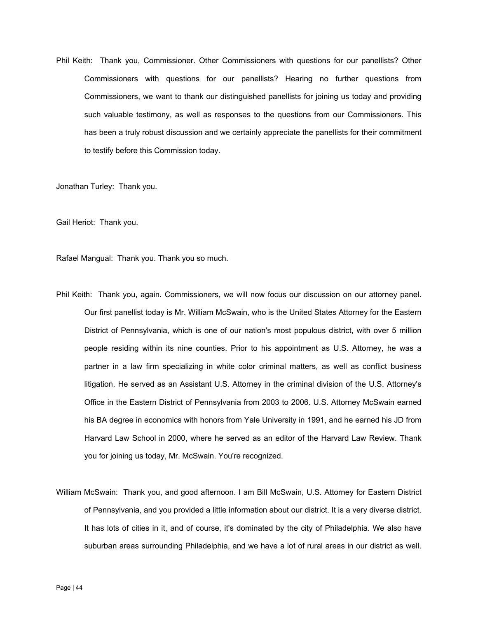Phil Keith: Thank you, Commissioner. Other Commissioners with questions for our panellists? Other Commissioners with questions for our panellists? Hearing no further questions from Commissioners, we want to thank our distinguished panellists for joining us today and providing such valuable testimony, as well as responses to the questions from our Commissioners. This has been a truly robust discussion and we certainly appreciate the panellists for their commitment to testify before this Commission today.

Jonathan Turley: Thank you.

Gail Heriot: Thank you.

Rafael Mangual: Thank you. Thank you so much.

- Phil Keith: Thank you, again. Commissioners, we will now focus our discussion on our attorney panel. Our first panellist today is Mr. William McSwain, who is the United States Attorney for the Eastern District of Pennsylvania, which is one of our nation's most populous district, with over 5 million people residing within its nine counties. Prior to his appointment as U.S. Attorney, he was a partner in a law firm specializing in white color criminal matters, as well as conflict business litigation. He served as an Assistant U.S. Attorney in the criminal division of the U.S. Attorney's Office in the Eastern District of Pennsylvania from 2003 to 2006. U.S. Attorney McSwain earned his BA degree in economics with honors from Yale University in 1991, and he earned his JD from Harvard Law School in 2000, where he served as an editor of the Harvard Law Review. Thank you for joining us today, Mr. McSwain. You're recognized.
- William McSwain: Thank you, and good afternoon. I am Bill McSwain, U.S. Attorney for Eastern District of Pennsylvania, and you provided a little information about our district. It is a very diverse district. It has lots of cities in it, and of course, it's dominated by the city of Philadelphia. We also have suburban areas surrounding Philadelphia, and we have a lot of rural areas in our district as well.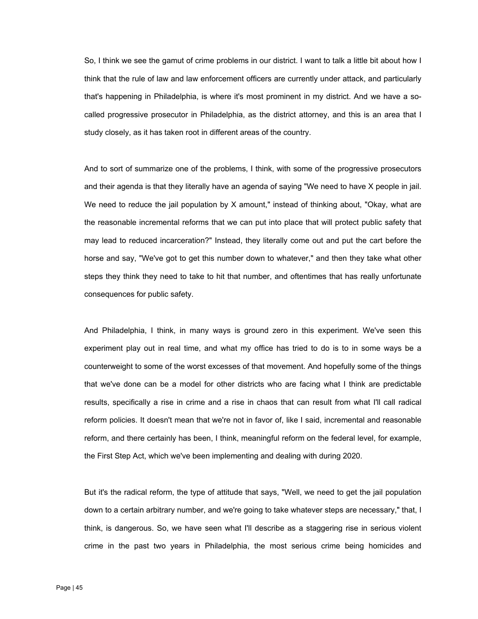So, I think we see the gamut of crime problems in our district. I want to talk a little bit about how I think that the rule of law and law enforcement officers are currently under attack, and particularly that's happening in Philadelphia, is where it's most prominent in my district. And we have a socalled progressive prosecutor in Philadelphia, as the district attorney, and this is an area that I study closely, as it has taken root in different areas of the country.

And to sort of summarize one of the problems, I think, with some of the progressive prosecutors and their agenda is that they literally have an agenda of saying "We need to have X people in jail. We need to reduce the jail population by X amount," instead of thinking about, "Okay, what are the reasonable incremental reforms that we can put into place that will protect public safety that may lead to reduced incarceration?" Instead, they literally come out and put the cart before the horse and say, "We've got to get this number down to whatever," and then they take what other steps they think they need to take to hit that number, and oftentimes that has really unfortunate consequences for public safety.

And Philadelphia, I think, in many ways is ground zero in this experiment. We've seen this experiment play out in real time, and what my office has tried to do is to in some ways be a counterweight to some of the worst excesses of that movement. And hopefully some of the things that we've done can be a model for other districts who are facing what I think are predictable results, specifically a rise in crime and a rise in chaos that can result from what I'll call radical reform policies. It doesn't mean that we're not in favor of, like I said, incremental and reasonable reform, and there certainly has been, I think, meaningful reform on the federal level, for example, the First Step Act, which we've been implementing and dealing with during 2020.

But it's the radical reform, the type of attitude that says, "Well, we need to get the jail population down to a certain arbitrary number, and we're going to take whatever steps are necessary," that, I think, is dangerous. So, we have seen what I'll describe as a staggering rise in serious violent crime in the past two years in Philadelphia, the most serious crime being homicides and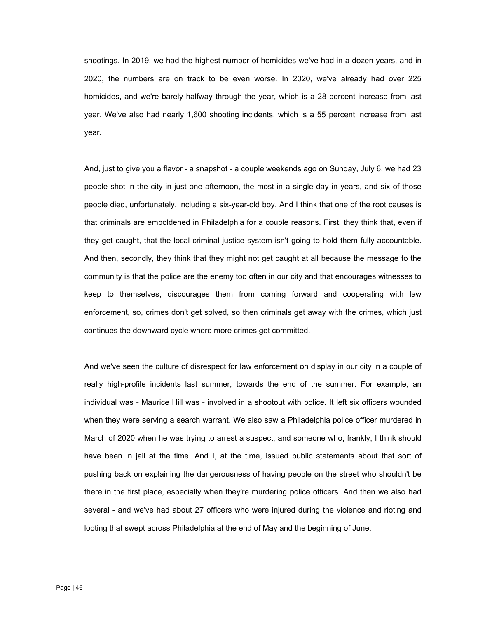shootings. In 2019, we had the highest number of homicides we've had in a dozen years, and in 2020, the numbers are on track to be even worse. In 2020, we've already had over 225 homicides, and we're barely halfway through the year, which is a 28 percent increase from last year. We've also had nearly 1,600 shooting incidents, which is a 55 percent increase from last year.

And, just to give you a flavor - a snapshot - a couple weekends ago on Sunday, July 6, we had 23 people shot in the city in just one afternoon, the most in a single day in years, and six of those people died, unfortunately, including a six-year-old boy. And I think that one of the root causes is that criminals are emboldened in Philadelphia for a couple reasons. First, they think that, even if they get caught, that the local criminal justice system isn't going to hold them fully accountable. And then, secondly, they think that they might not get caught at all because the message to the community is that the police are the enemy too often in our city and that encourages witnesses to keep to themselves, discourages them from coming forward and cooperating with law enforcement, so, crimes don't get solved, so then criminals get away with the crimes, which just continues the downward cycle where more crimes get committed.

And we've seen the culture of disrespect for law enforcement on display in our city in a couple of really high-profile incidents last summer, towards the end of the summer. For example, an individual was - Maurice Hill was - involved in a shootout with police. It left six officers wounded when they were serving a search warrant. We also saw a Philadelphia police officer murdered in March of 2020 when he was trying to arrest a suspect, and someone who, frankly, I think should have been in jail at the time. And I, at the time, issued public statements about that sort of pushing back on explaining the dangerousness of having people on the street who shouldn't be there in the first place, especially when they're murdering police officers. And then we also had several - and we've had about 27 officers who were injured during the violence and rioting and looting that swept across Philadelphia at the end of May and the beginning of June.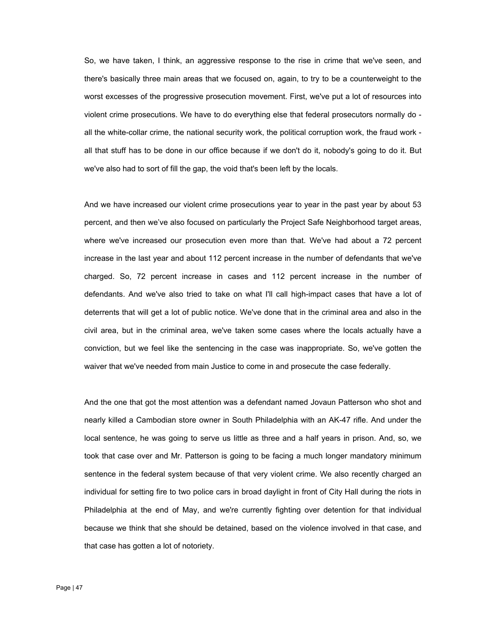So, we have taken, I think, an aggressive response to the rise in crime that we've seen, and there's basically three main areas that we focused on, again, to try to be a counterweight to the worst excesses of the progressive prosecution movement. First, we've put a lot of resources into violent crime prosecutions. We have to do everything else that federal prosecutors normally do all the white-collar crime, the national security work, the political corruption work, the fraud work all that stuff has to be done in our office because if we don't do it, nobody's going to do it. But we've also had to sort of fill the gap, the void that's been left by the locals.

And we have increased our violent crime prosecutions year to year in the past year by about 53 percent, and then we've also focused on particularly the Project Safe Neighborhood target areas, where we've increased our prosecution even more than that. We've had about a 72 percent increase in the last year and about 112 percent increase in the number of defendants that we've charged. So, 72 percent increase in cases and 112 percent increase in the number of defendants. And we've also tried to take on what I'll call high-impact cases that have a lot of deterrents that will get a lot of public notice. We've done that in the criminal area and also in the civil area, but in the criminal area, we've taken some cases where the locals actually have a conviction, but we feel like the sentencing in the case was inappropriate. So, we've gotten the waiver that we've needed from main Justice to come in and prosecute the case federally.

And the one that got the most attention was a defendant named Jovaun Patterson who shot and nearly killed a Cambodian store owner in South Philadelphia with an AK-47 rifle. And under the local sentence, he was going to serve us little as three and a half years in prison. And, so, we took that case over and Mr. Patterson is going to be facing a much longer mandatory minimum sentence in the federal system because of that very violent crime. We also recently charged an individual for setting fire to two police cars in broad daylight in front of City Hall during the riots in Philadelphia at the end of May, and we're currently fighting over detention for that individual because we think that she should be detained, based on the violence involved in that case, and that case has gotten a lot of notoriety.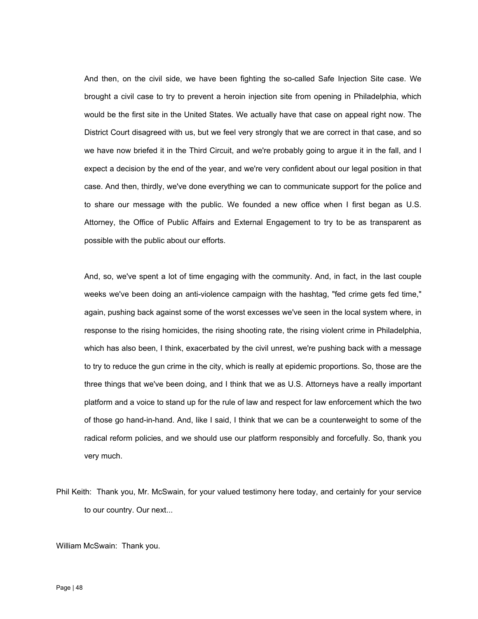And then, on the civil side, we have been fighting the so-called Safe Injection Site case. We brought a civil case to try to prevent a heroin injection site from opening in Philadelphia, which would be the first site in the United States. We actually have that case on appeal right now. The District Court disagreed with us, but we feel very strongly that we are correct in that case, and so we have now briefed it in the Third Circuit, and we're probably going to argue it in the fall, and I expect a decision by the end of the year, and we're very confident about our legal position in that case. And then, thirdly, we've done everything we can to communicate support for the police and to share our message with the public. We founded a new office when I first began as U.S. Attorney, the Office of Public Affairs and External Engagement to try to be as transparent as possible with the public about our efforts.

 three things that we've been doing, and I think that we as U.S. Attorneys have a really important And, so, we've spent a lot of time engaging with the community. And, in fact, in the last couple weeks we've been doing an anti-violence campaign with the hashtag, "fed crime gets fed time," again, pushing back against some of the worst excesses we've seen in the local system where, in response to the rising homicides, the rising shooting rate, the rising violent crime in Philadelphia, which has also been, I think, exacerbated by the civil unrest, we're pushing back with a message to try to reduce the gun crime in the city, which is really at epidemic proportions. So, those are the platform and a voice to stand up for the rule of law and respect for law enforcement which the two of those go hand-in-hand. And, like I said, I think that we can be a counterweight to some of the radical reform policies, and we should use our platform responsibly and forcefully. So, thank you very much.

William McSwain: Thank you.

Phil Keith: Thank you, Mr. McSwain, for your valued testimony here today, and certainly for your service to our country. Our next...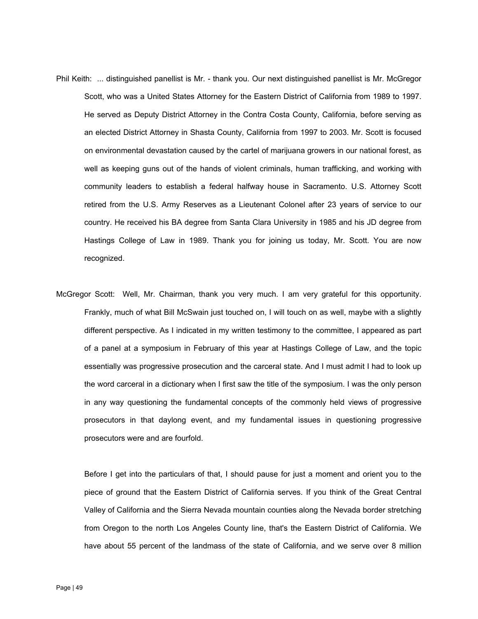- Phil Keith: ... distinguished panellist is Mr. thank you. Our next distinguished panellist is Mr. McGregor Scott, who was a United States Attorney for the Eastern District of California from 1989 to 1997. He served as Deputy District Attorney in the Contra Costa County, California, before serving as an elected District Attorney in Shasta County, California from 1997 to 2003. Mr. Scott is focused on environmental devastation caused by the cartel of marijuana growers in our national forest, as well as keeping guns out of the hands of violent criminals, human trafficking, and working with community leaders to establish a federal halfway house in Sacramento. U.S. Attorney Scott retired from the U.S. Army Reserves as a Lieutenant Colonel after 23 years of service to our country. He received his BA degree from Santa Clara University in 1985 and his JD degree from Hastings College of Law in 1989. Thank you for joining us today, Mr. Scott. You are now recognized.
- McGregor Scott: Well, Mr. Chairman, thank you very much. I am very grateful for this opportunity. Frankly, much of what Bill McSwain just touched on, I will touch on as well, maybe with a slightly different perspective. As I indicated in my written testimony to the committee, I appeared as part of a panel at a symposium in February of this year at Hastings College of Law, and the topic essentially was progressive prosecution and the carceral state. And I must admit I had to look up the word carceral in a dictionary when I first saw the title of the symposium. I was the only person in any way questioning the fundamental concepts of the commonly held views of progressive prosecutors in that daylong event, and my fundamental issues in questioning progressive prosecutors were and are fourfold.

Before I get into the particulars of that, I should pause for just a moment and orient you to the piece of ground that the Eastern District of California serves. If you think of the Great Central Valley of California and the Sierra Nevada mountain counties along the Nevada border stretching from Oregon to the north Los Angeles County line, that's the Eastern District of California. We have about 55 percent of the landmass of the state of California, and we serve over 8 million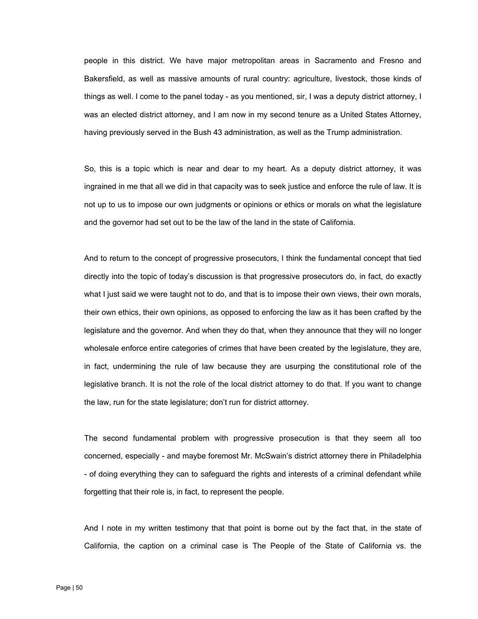people in this district. We have major metropolitan areas in Sacramento and Fresno and Bakersfield, as well as massive amounts of rural country: agriculture, livestock, those kinds of things as well. I come to the panel today - as you mentioned, sir, I was a deputy district attorney, I was an elected district attorney, and I am now in my second tenure as a United States Attorney, having previously served in the Bush 43 administration, as well as the Trump administration.

So, this is a topic which is near and dear to my heart. As a deputy district attorney, it was ingrained in me that all we did in that capacity was to seek justice and enforce the rule of law. It is not up to us to impose our own judgments or opinions or ethics or morals on what the legislature and the governor had set out to be the law of the land in the state of California.

And to return to the concept of progressive prosecutors, I think the fundamental concept that tied directly into the topic of today's discussion is that progressive prosecutors do, in fact, do exactly what I just said we were taught not to do, and that is to impose their own views, their own morals, their own ethics, their own opinions, as opposed to enforcing the law as it has been crafted by the legislature and the governor. And when they do that, when they announce that they will no longer wholesale enforce entire categories of crimes that have been created by the legislature, they are, in fact, undermining the rule of law because they are usurping the constitutional role of the legislative branch. It is not the role of the local district attorney to do that. If you want to change the law, run for the state legislature; don't run for district attorney.

The second fundamental problem with progressive prosecution is that they seem all too concerned, especially - and maybe foremost Mr. McSwain's district attorney there in Philadelphia - of doing everything they can to safeguard the rights and interests of a criminal defendant while forgetting that their role is, in fact, to represent the people.

 California, the caption on a criminal case is The People of the State of California vs. the And I note in my written testimony that that point is borne out by the fact that, in the state of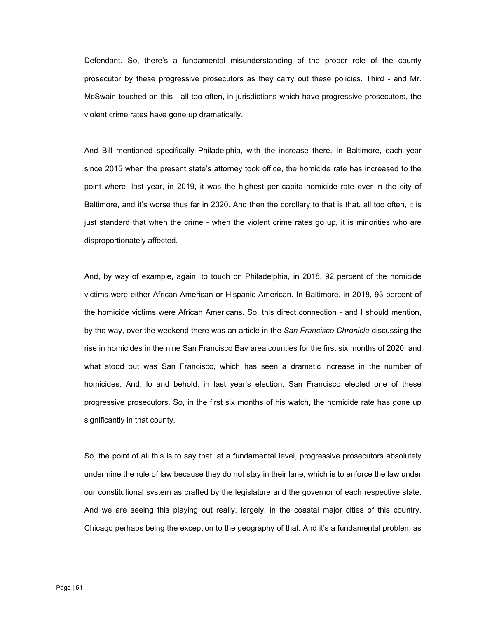Defendant. So, there's a fundamental misunderstanding of the proper role of the county prosecutor by these progressive prosecutors as they carry out these policies. Third - and Mr. McSwain touched on this - all too often, in jurisdictions which have progressive prosecutors, the violent crime rates have gone up dramatically.

And Bill mentioned specifically Philadelphia, with the increase there. In Baltimore, each year since 2015 when the present state's attorney took office, the homicide rate has increased to the point where, last year, in 2019, it was the highest per capita homicide rate ever in the city of Baltimore, and it's worse thus far in 2020. And then the corollary to that is that, all too often, it is just standard that when the crime - when the violent crime rates go up, it is minorities who are disproportionately affected.

And, by way of example, again, to touch on Philadelphia, in 2018, 92 percent of the homicide victims were either African American or Hispanic American. In Baltimore, in 2018, 93 percent of the homicide victims were African Americans. So, this direct connection - and I should mention, by the way, over the weekend there was an article in the *San Francisco Chronicle* discussing the rise in homicides in the nine San Francisco Bay area counties for the first six months of 2020, and what stood out was San Francisco, which has seen a dramatic increase in the number of homicides. And, lo and behold, in last year's election, San Francisco elected one of these progressive prosecutors. So, in the first six months of his watch, the homicide rate has gone up significantly in that county.

So, the point of all this is to say that, at a fundamental level, progressive prosecutors absolutely undermine the rule of law because they do not stay in their lane, which is to enforce the law under our constitutional system as crafted by the legislature and the governor of each respective state. And we are seeing this playing out really, largely, in the coastal major cities of this country, Chicago perhaps being the exception to the geography of that. And it's a fundamental problem as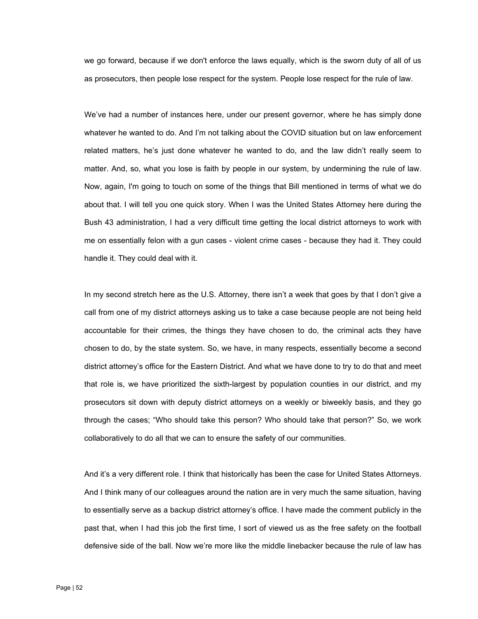we go forward, because if we don't enforce the laws equally, which is the sworn duty of all of us as prosecutors, then people lose respect for the system. People lose respect for the rule of law.

We've had a number of instances here, under our present governor, where he has simply done whatever he wanted to do. And I'm not talking about the COVID situation but on law enforcement related matters, he's just done whatever he wanted to do, and the law didn't really seem to matter. And, so, what you lose is faith by people in our system, by undermining the rule of law. Now, again, I'm going to touch on some of the things that Bill mentioned in terms of what we do about that. I will tell you one quick story. When I was the United States Attorney here during the Bush 43 administration, I had a very difficult time getting the local district attorneys to work with me on essentially felon with a gun cases - violent crime cases - because they had it. They could handle it. They could deal with it.

In my second stretch here as the U.S. Attorney, there isn't a week that goes by that I don't give a call from one of my district attorneys asking us to take a case because people are not being held accountable for their crimes, the things they have chosen to do, the criminal acts they have chosen to do, by the state system. So, we have, in many respects, essentially become a second district attorney's office for the Eastern District. And what we have done to try to do that and meet that role is, we have prioritized the sixth-largest by population counties in our district, and my prosecutors sit down with deputy district attorneys on a weekly or biweekly basis, and they go through the cases; "Who should take this person? Who should take that person?" So, we work collaboratively to do all that we can to ensure the safety of our communities.

And it's a very different role. I think that historically has been the case for United States Attorneys. And I think many of our colleagues around the nation are in very much the same situation, having to essentially serve as a backup district attorney's office. I have made the comment publicly in the past that, when I had this job the first time, I sort of viewed us as the free safety on the football defensive side of the ball. Now we're more like the middle linebacker because the rule of law has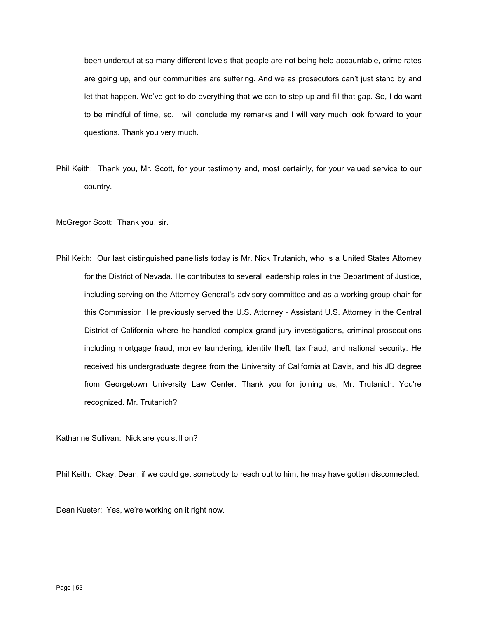been undercut at so many different levels that people are not being held accountable, crime rates are going up, and our communities are suffering. And we as prosecutors can't just stand by and let that happen. We've got to do everything that we can to step up and fill that gap. So, I do want to be mindful of time, so, I will conclude my remarks and I will very much look forward to your questions. Thank you very much.

Phil Keith: Thank you, Mr. Scott, for your testimony and, most certainly, for your valued service to our country.

McGregor Scott: Thank you, sir.

Phil Keith: Our last distinguished panellists today is Mr. Nick Trutanich, who is a United States Attorney for the District of Nevada. He contributes to several leadership roles in the Department of Justice, including serving on the Attorney General's advisory committee and as a working group chair for this Commission. He previously served the U.S. Attorney - Assistant U.S. Attorney in the Central District of California where he handled complex grand jury investigations, criminal prosecutions including mortgage fraud, money laundering, identity theft, tax fraud, and national security. He received his undergraduate degree from the University of California at Davis, and his JD degree from Georgetown University Law Center. Thank you for joining us, Mr. Trutanich. You're recognized. Mr. Trutanich?

Katharine Sullivan: Nick are you still on?

Phil Keith: Okay. Dean, if we could get somebody to reach out to him, he may have gotten disconnected.

Dean Kueter: Yes, we're working on it right now.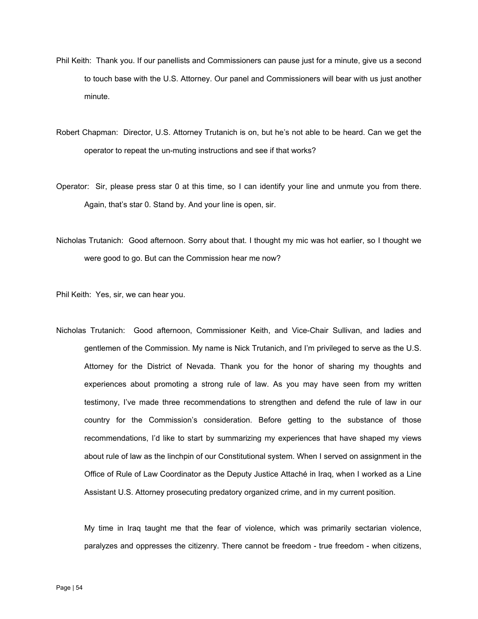- Phil Keith: Thank you. If our panellists and Commissioners can pause just for a minute, give us a second to touch base with the U.S. Attorney. Our panel and Commissioners will bear with us just another minute.
- Robert Chapman: Director, U.S. Attorney Trutanich is on, but he's not able to be heard. Can we get the operator to repeat the un-muting instructions and see if that works?
- Operator: Sir, please press star 0 at this time, so I can identify your line and unmute you from there. Again, that's star 0. Stand by. And your line is open, sir.
- Nicholas Trutanich: Good afternoon. Sorry about that. I thought my mic was hot earlier, so I thought we were good to go. But can the Commission hear me now?

Phil Keith: Yes, sir, we can hear you.

Nicholas Trutanich: Good afternoon, Commissioner Keith, and Vice-Chair Sullivan, and ladies and gentlemen of the Commission. My name is Nick Trutanich, and I'm privileged to serve as the U.S. Attorney for the District of Nevada. Thank you for the honor of sharing my thoughts and experiences about promoting a strong rule of law. As you may have seen from my written testimony, I've made three recommendations to strengthen and defend the rule of law in our country for the Commission's consideration. Before getting to the substance of those recommendations, I'd like to start by summarizing my experiences that have shaped my views about rule of law as the linchpin of our Constitutional system. When I served on assignment in the Office of Rule of Law Coordinator as the Deputy Justice Attaché in Iraq, when I worked as a Line Assistant U.S. Attorney prosecuting predatory organized crime, and in my current position.

My time in Iraq taught me that the fear of violence, which was primarily sectarian violence, paralyzes and oppresses the citizenry. There cannot be freedom - true freedom - when citizens,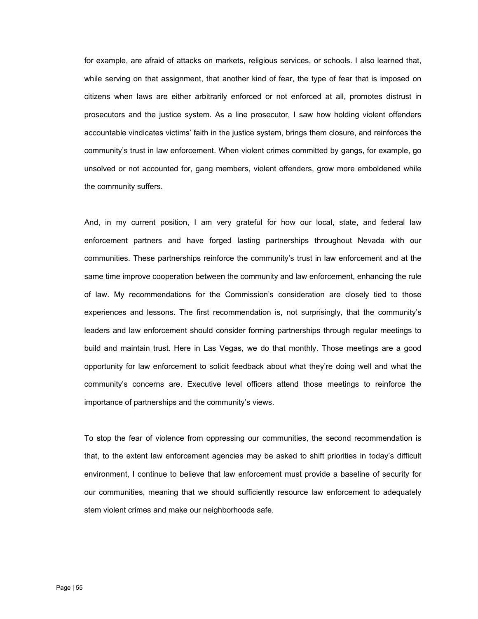for example, are afraid of attacks on markets, religious services, or schools. I also learned that, while serving on that assignment, that another kind of fear, the type of fear that is imposed on citizens when laws are either arbitrarily enforced or not enforced at all, promotes distrust in prosecutors and the justice system. As a line prosecutor, I saw how holding violent offenders accountable vindicates victims' faith in the justice system, brings them closure, and reinforces the community's trust in law enforcement. When violent crimes committed by gangs, for example, go unsolved or not accounted for, gang members, violent offenders, grow more emboldened while the community suffers.

And, in my current position, I am very grateful for how our local, state, and federal law enforcement partners and have forged lasting partnerships throughout Nevada with our communities. These partnerships reinforce the community's trust in law enforcement and at the same time improve cooperation between the community and law enforcement, enhancing the rule of law. My recommendations for the Commission's consideration are closely tied to those experiences and lessons. The first recommendation is, not surprisingly, that the community's leaders and law enforcement should consider forming partnerships through regular meetings to build and maintain trust. Here in Las Vegas, we do that monthly. Those meetings are a good opportunity for law enforcement to solicit feedback about what they're doing well and what the community's concerns are. Executive level officers attend those meetings to reinforce the importance of partnerships and the community's views.

stem violent crimes and make our neighborhoods safe. To stop the fear of violence from oppressing our communities, the second recommendation is that, to the extent law enforcement agencies may be asked to shift priorities in today's difficult environment, I continue to believe that law enforcement must provide a baseline of security for our communities, meaning that we should sufficiently resource law enforcement to adequately stem violent crimes and make our neighborhoods safe.<br>Page | 55<br>Page | 55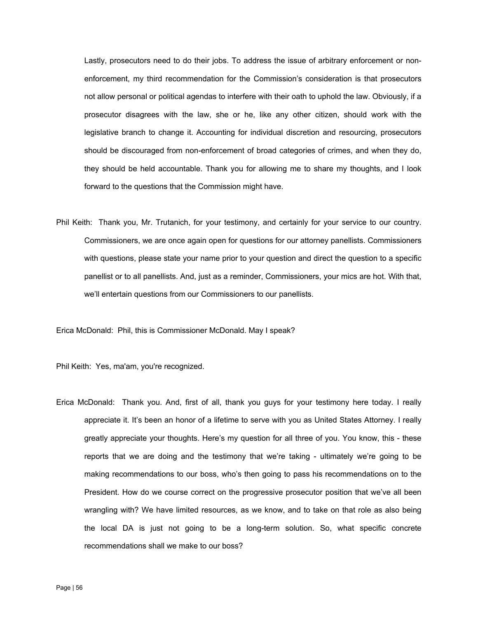Lastly, prosecutors need to do their jobs. To address the issue of arbitrary enforcement or nonenforcement, my third recommendation for the Commission's consideration is that prosecutors not allow personal or political agendas to interfere with their oath to uphold the law. Obviously, if a prosecutor disagrees with the law, she or he, like any other citizen, should work with the legislative branch to change it. Accounting for individual discretion and resourcing, prosecutors should be discouraged from non-enforcement of broad categories of crimes, and when they do, they should be held accountable. Thank you for allowing me to share my thoughts, and I look forward to the questions that the Commission might have.

Phil Keith: Thank you, Mr. Trutanich, for your testimony, and certainly for your service to our country. Commissioners, we are once again open for questions for our attorney panellists. Commissioners with questions, please state your name prior to your question and direct the question to a specific panellist or to all panellists. And, just as a reminder, Commissioners, your mics are hot. With that, we'll entertain questions from our Commissioners to our panellists.

Erica McDonald: Phil, this is Commissioner McDonald. May I speak?

Phil Keith: Yes, ma'am, you're recognized.

Erica McDonald: Thank you. And, first of all, thank you guys for your testimony here today. I really appreciate it. It's been an honor of a lifetime to serve with you as United States Attorney. I really greatly appreciate your thoughts. Here's my question for all three of you. You know, this - these reports that we are doing and the testimony that we're taking - ultimately we're going to be making recommendations to our boss, who's then going to pass his recommendations on to the President. How do we course correct on the progressive prosecutor position that we've all been wrangling with? We have limited resources, as we know, and to take on that role as also being the local DA is just not going to be a long-term solution. So, what specific concrete recommendations shall we make to our boss?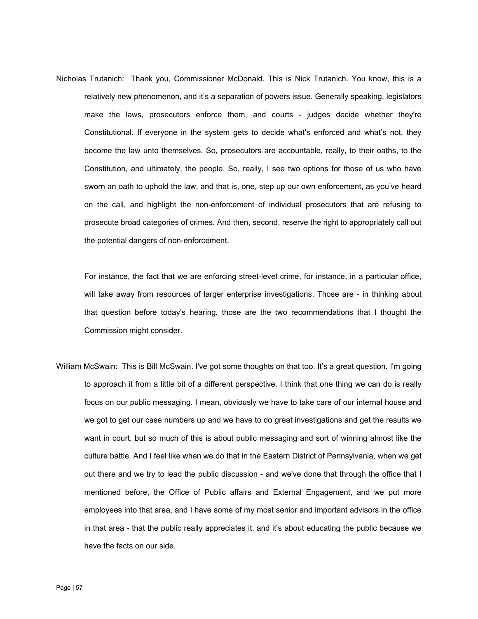Nicholas Trutanich: Thank you, Commissioner McDonald. This is Nick Trutanich. You know, this is a relatively new phenomenon, and it's a separation of powers issue. Generally speaking, legislators make the laws, prosecutors enforce them, and courts - judges decide whether they're Constitutional. If everyone in the system gets to decide what's enforced and what's not, they become the law unto themselves. So, prosecutors are accountable, really, to their oaths, to the Constitution, and ultimately, the people. So, really, I see two options for those of us who have sworn an oath to uphold the law, and that is, one, step up our own enforcement, as you've heard on the call, and highlight the non-enforcement of individual prosecutors that are refusing to prosecute broad categories of crimes. And then, second, reserve the right to appropriately call out the potential dangers of non-enforcement.

For instance, the fact that we are enforcing street-level crime, for instance, in a particular office, will take away from resources of larger enterprise investigations. Those are - in thinking about that question before today's hearing, those are the two recommendations that I thought the Commission might consider.

William McSwain: This is Bill McSwain. I've got some thoughts on that too. It's a great question. I'm going to approach it from a little bit of a different perspective. I think that one thing we can do is really focus on our public messaging. I mean, obviously we have to take care of our internal house and we got to get our case numbers up and we have to do great investigations and get the results we want in court, but so much of this is about public messaging and sort of winning almost like the culture battle. And I feel like when we do that in the Eastern District of Pennsylvania, when we get out there and we try to lead the public discussion - and we've done that through the office that I mentioned before, the Office of Public affairs and External Engagement, and we put more employees into that area, and I have some of my most senior and important advisors in the office in that area - that the public really appreciates it, and it's about educating the public because we have the facts on our side.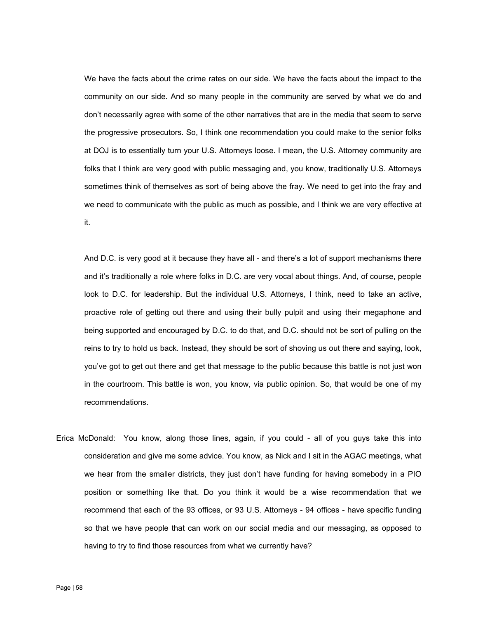We have the facts about the crime rates on our side. We have the facts about the impact to the community on our side. And so many people in the community are served by what we do and don't necessarily agree with some of the other narratives that are in the media that seem to serve the progressive prosecutors. So, I think one recommendation you could make to the senior folks at DOJ is to essentially turn your U.S. Attorneys loose. I mean, the U.S. Attorney community are folks that I think are very good with public messaging and, you know, traditionally U.S. Attorneys sometimes think of themselves as sort of being above the fray. We need to get into the fray and we need to communicate with the public as much as possible, and I think we are very effective at it.

And D.C. is very good at it because they have all - and there's a lot of support mechanisms there and it's traditionally a role where folks in D.C. are very vocal about things. And, of course, people look to D.C. for leadership. But the individual U.S. Attorneys, I think, need to take an active, proactive role of getting out there and using their bully pulpit and using their megaphone and being supported and encouraged by D.C. to do that, and D.C. should not be sort of pulling on the reins to try to hold us back. Instead, they should be sort of shoving us out there and saying, look, you've got to get out there and get that message to the public because this battle is not just won in the courtroom. This battle is won, you know, via public opinion. So, that would be one of my recommendations.

Erica McDonald: You know, along those lines, again, if you could - all of you guys take this into consideration and give me some advice. You know, as Nick and I sit in the AGAC meetings, what we hear from the smaller districts, they just don't have funding for having somebody in a PIO position or something like that. Do you think it would be a wise recommendation that we recommend that each of the 93 offices, or 93 U.S. Attorneys - 94 offices - have specific funding so that we have people that can work on our social media and our messaging, as opposed to having to try to find those resources from what we currently have?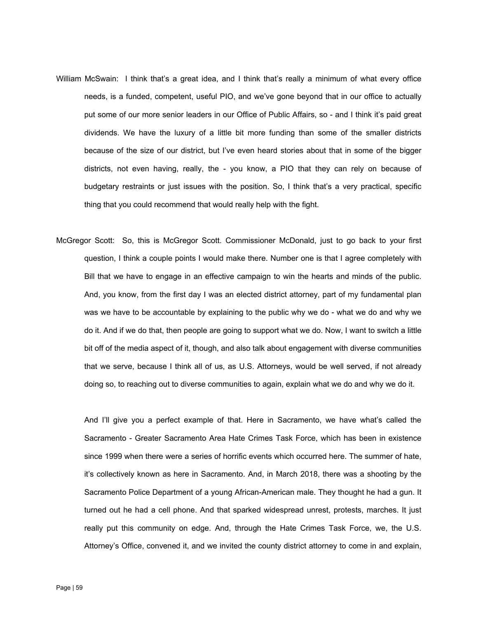- William McSwain: I think that's a great idea, and I think that's really a minimum of what every office needs, is a funded, competent, useful PIO, and we've gone beyond that in our office to actually put some of our more senior leaders in our Office of Public Affairs, so - and I think it's paid great dividends. We have the luxury of a little bit more funding than some of the smaller districts because of the size of our district, but I've even heard stories about that in some of the bigger districts, not even having, really, the - you know, a PIO that they can rely on because of budgetary restraints or just issues with the position. So, I think that's a very practical, specific thing that you could recommend that would really help with the fight.
- McGregor Scott: So, this is McGregor Scott. Commissioner McDonald, just to go back to your first question, I think a couple points I would make there. Number one is that I agree completely with Bill that we have to engage in an effective campaign to win the hearts and minds of the public. And, you know, from the first day I was an elected district attorney, part of my fundamental plan was we have to be accountable by explaining to the public why we do - what we do and why we do it. And if we do that, then people are going to support what we do. Now, I want to switch a little bit off of the media aspect of it, though, and also talk about engagement with diverse communities that we serve, because I think all of us, as U.S. Attorneys, would be well served, if not already doing so, to reaching out to diverse communities to again, explain what we do and why we do it.

And I'll give you a perfect example of that. Here in Sacramento, we have what's called the Sacramento - Greater Sacramento Area Hate Crimes Task Force, which has been in existence since 1999 when there were a series of horrific events which occurred here. The summer of hate, it's collectively known as here in Sacramento. And, in March 2018, there was a shooting by the Sacramento Police Department of a young African-American male. They thought he had a gun. It turned out he had a cell phone. And that sparked widespread unrest, protests, marches. It just really put this community on edge. And, through the Hate Crimes Task Force, we, the U.S. Attorney's Office, convened it, and we invited the county district attorney to come in and explain,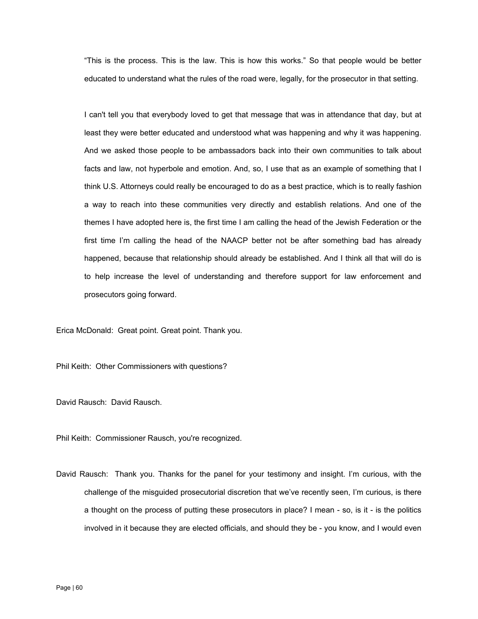"This is the process. This is the law. This is how this works." So that people would be better educated to understand what the rules of the road were, legally, for the prosecutor in that setting.

I can't tell you that everybody loved to get that message that was in attendance that day, but at least they were better educated and understood what was happening and why it was happening. And we asked those people to be ambassadors back into their own communities to talk about facts and law, not hyperbole and emotion. And, so, I use that as an example of something that I think U.S. Attorneys could really be encouraged to do as a best practice, which is to really fashion a way to reach into these communities very directly and establish relations. And one of the themes I have adopted here is, the first time I am calling the head of the Jewish Federation or the first time I'm calling the head of the NAACP better not be after something bad has already happened, because that relationship should already be established. And I think all that will do is to help increase the level of understanding and therefore support for law enforcement and prosecutors going forward.

Erica McDonald: Great point. Great point. Thank you.

Phil Keith: Other Commissioners with questions?

David Rausch: David Rausch.

Phil Keith: Commissioner Rausch, you're recognized.

David Rausch: Thank you. Thanks for the panel for your testimony and insight. I'm curious, with the challenge of the misguided prosecutorial discretion that we've recently seen, I'm curious, is there a thought on the process of putting these prosecutors in place? I mean - so, is it - is the politics involved in it because they are elected officials, and should they be - you know, and I would even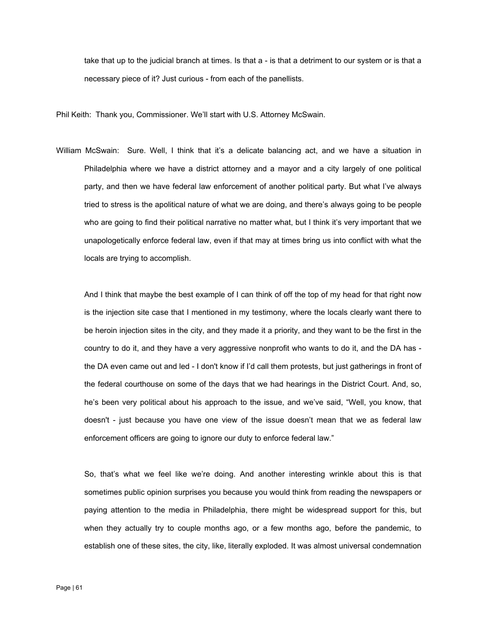take that up to the judicial branch at times. Is that a - is that a detriment to our system or is that a necessary piece of it? Just curious - from each of the panellists.

Phil Keith: Thank you, Commissioner. We'll start with U.S. Attorney McSwain.

William McSwain: Sure. Well, I think that it's a delicate balancing act, and we have a situation in Philadelphia where we have a district attorney and a mayor and a city largely of one political party, and then we have federal law enforcement of another political party. But what I've always tried to stress is the apolitical nature of what we are doing, and there's always going to be people who are going to find their political narrative no matter what, but I think it's very important that we unapologetically enforce federal law, even if that may at times bring us into conflict with what the locals are trying to accomplish.

And I think that maybe the best example of I can think of off the top of my head for that right now is the injection site case that I mentioned in my testimony, where the locals clearly want there to be heroin injection sites in the city, and they made it a priority, and they want to be the first in the country to do it, and they have a very aggressive nonprofit who wants to do it, and the DA has the DA even came out and led - I don't know if I'd call them protests, but just gatherings in front of the federal courthouse on some of the days that we had hearings in the District Court. And, so, he's been very political about his approach to the issue, and we've said, "Well, you know, that doesn't - just because you have one view of the issue doesn't mean that we as federal law enforcement officers are going to ignore our duty to enforce federal law."

So, that's what we feel like we're doing. And another interesting wrinkle about this is that sometimes public opinion surprises you because you would think from reading the newspapers or paying attention to the media in Philadelphia, there might be widespread support for this, but when they actually try to couple months ago, or a few months ago, before the pandemic, to establish one of these sites, the city, like, literally exploded. It was almost universal condemnation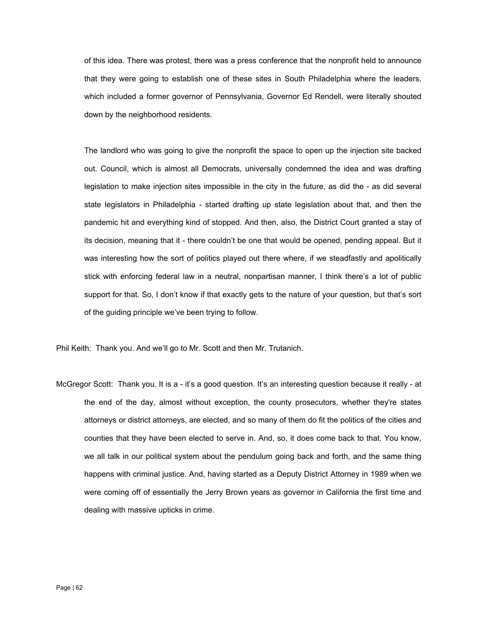of this idea. There was protest, there was a press conference that the nonprofit held to announce that they were going to establish one of these sites in South Philadelphia where the leaders, which included a former governor of Pennsylvania, Governor Ed Rendell, were literally shouted down by the neighborhood residents.

The landlord who was going to give the nonprofit the space to open up the injection site backed out. Council, which is almost all Democrats, universally condemned the idea and was drafting legislation to make injection sites impossible in the city in the future, as did the - as did several state legislators in Philadelphia - started drafting up state legislation about that, and then the pandemic hit and everything kind of stopped. And then, also, the District Court granted a stay of its decision, meaning that it - there couldn't be one that would be opened, pending appeal. But it was interesting how the sort of politics played out there where, if we steadfastly and apolitically stick with enforcing federal law in a neutral, nonpartisan manner, I think there's a lot of public support for that. So, I don't know if that exactly gets to the nature of your question, but that's sort of the guiding principle we've been trying to follow.

Phil Keith: Thank you. And we'll go to Mr. Scott and then Mr. Trutanich.

McGregor Scott: Thank you. It is a - it's a good question. It's an interesting question because it really - at the end of the day, almost without exception, the county prosecutors, whether they're states attorneys or district attorneys, are elected, and so many of them do fit the politics of the cities and counties that they have been elected to serve in. And, so, it does come back to that. You know, we all talk in our political system about the pendulum going back and forth, and the same thing happens with criminal justice. And, having started as a Deputy District Attorney in 1989 when we were coming off of essentially the Jerry Brown years as governor in California the first time and dealing with massive upticks in crime.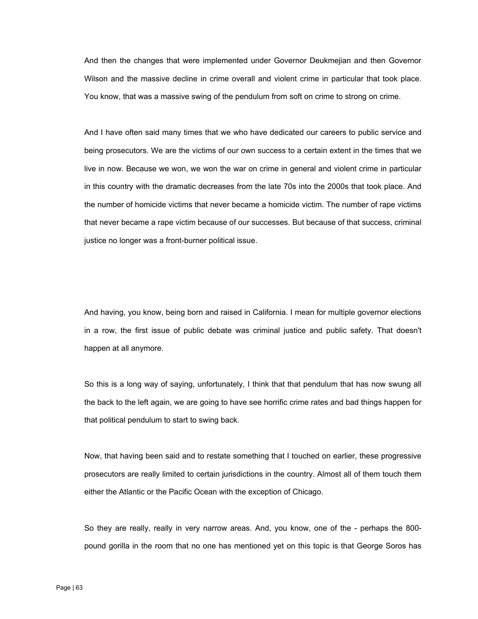And then the changes that were implemented under Governor Deukmejian and then Governor Wilson and the massive decline in crime overall and violent crime in particular that took place. You know, that was a massive swing of the pendulum from soft on crime to strong on crime.

And I have often said many times that we who have dedicated our careers to public service and being prosecutors. We are the victims of our own success to a certain extent in the times that we live in now. Because we won, we won the war on crime in general and violent crime in particular in this country with the dramatic decreases from the late 70s into the 2000s that took place. And the number of homicide victims that never became a homicide victim. The number of rape victims that never became a rape victim because of our successes. But because of that success, criminal justice no longer was a front-burner political issue.

And having, you know, being born and raised in California. I mean for multiple governor elections in a row, the first issue of public debate was criminal justice and public safety. That doesn't happen at all anymore.

So this is a long way of saying, unfortunately, I think that that pendulum that has now swung all the back to the left again, we are going to have see horrific crime rates and bad things happen for that political pendulum to start to swing back.

Now, that having been said and to restate something that I touched on earlier, these progressive prosecutors are really limited to certain jurisdictions in the country. Almost all of them touch them either the Atlantic or the Pacific Ocean with the exception of Chicago.

So they are really, really in very narrow areas. And, you know, one of the - perhaps the 800 pound gorilla in the room that no one has mentioned yet on this topic is that George Soros has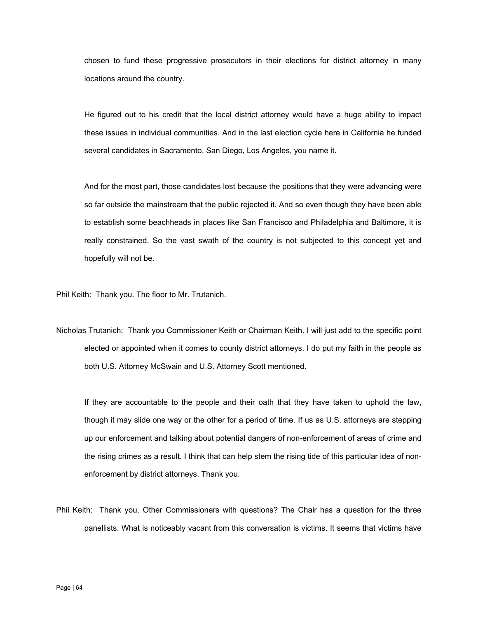chosen to fund these progressive prosecutors in their elections for district attorney in many locations around the country.

He figured out to his credit that the local district attorney would have a huge ability to impact these issues in individual communities. And in the last election cycle here in California he funded several candidates in Sacramento, San Diego, Los Angeles, you name it.

And for the most part, those candidates lost because the positions that they were advancing were so far outside the mainstream that the public rejected it. And so even though they have been able to establish some beachheads in places like San Francisco and Philadelphia and Baltimore, it is really constrained. So the vast swath of the country is not subjected to this concept yet and hopefully will not be.

Phil Keith: Thank you. The floor to Mr. Trutanich.

Nicholas Trutanich: Thank you Commissioner Keith or Chairman Keith. I will just add to the specific point elected or appointed when it comes to county district attorneys. I do put my faith in the people as both U.S. Attorney McSwain and U.S. Attorney Scott mentioned.

If they are accountable to the people and their oath that they have taken to uphold the law, though it may slide one way or the other for a period of time. If us as U.S. attorneys are stepping up our enforcement and talking about potential dangers of non-enforcement of areas of crime and the rising crimes as a result. I think that can help stem the rising tide of this particular idea of nonenforcement by district attorneys. Thank you.

Phil Keith: Thank you. Other Commissioners with questions? The Chair has a question for the three panellists. What is noticeably vacant from this conversation is victims. It seems that victims have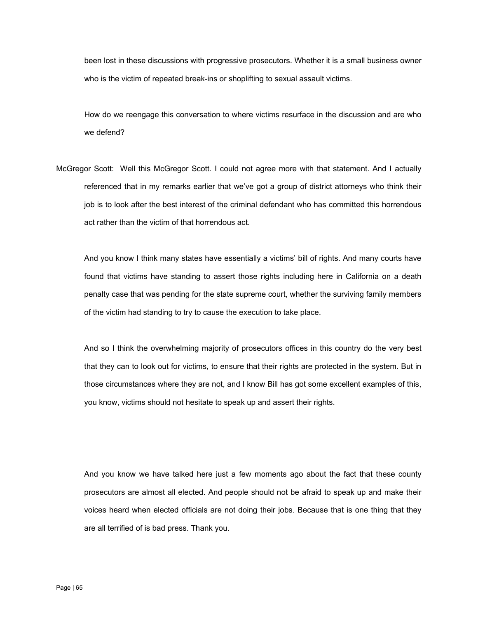been lost in these discussions with progressive prosecutors. Whether it is a small business owner who is the victim of repeated break-ins or shoplifting to sexual assault victims.

How do we reengage this conversation to where victims resurface in the discussion and are who we defend?

McGregor Scott: Well this McGregor Scott. I could not agree more with that statement. And I actually referenced that in my remarks earlier that we've got a group of district attorneys who think their job is to look after the best interest of the criminal defendant who has committed this horrendous act rather than the victim of that horrendous act.

And you know I think many states have essentially a victims' bill of rights. And many courts have found that victims have standing to assert those rights including here in California on a death penalty case that was pending for the state supreme court, whether the surviving family members of the victim had standing to try to cause the execution to take place.

And so I think the overwhelming majority of prosecutors offices in this country do the very best that they can to look out for victims, to ensure that their rights are protected in the system. But in those circumstances where they are not, and I know Bill has got some excellent examples of this, you know, victims should not hesitate to speak up and assert their rights.

And you know we have talked here just a few moments ago about the fact that these county prosecutors are almost all elected. And people should not be afraid to speak up and make their voices heard when elected officials are not doing their jobs. Because that is one thing that they are all terrified of is bad press. Thank you.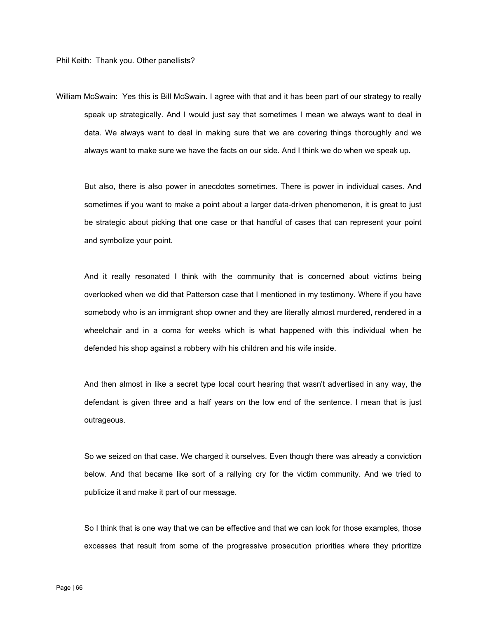William McSwain: Yes this is Bill McSwain. I agree with that and it has been part of our strategy to really speak up strategically. And I would just say that sometimes I mean we always want to deal in data. We always want to deal in making sure that we are covering things thoroughly and we always want to make sure we have the facts on our side. And I think we do when we speak up.

But also, there is also power in anecdotes sometimes. There is power in individual cases. And sometimes if you want to make a point about a larger data-driven phenomenon, it is great to just be strategic about picking that one case or that handful of cases that can represent your point and symbolize your point.

And it really resonated I think with the community that is concerned about victims being overlooked when we did that Patterson case that I mentioned in my testimony. Where if you have somebody who is an immigrant shop owner and they are literally almost murdered, rendered in a wheelchair and in a coma for weeks which is what happened with this individual when he defended his shop against a robbery with his children and his wife inside.

And then almost in like a secret type local court hearing that wasn't advertised in any way, the defendant is given three and a half years on the low end of the sentence. I mean that is just outrageous.

So we seized on that case. We charged it ourselves. Even though there was already a conviction below. And that became like sort of a rallying cry for the victim community. And we tried to publicize it and make it part of our message.

So I think that is one way that we can be effective and that we can look for those examples, those excesses that result from some of the progressive prosecution priorities where they prioritize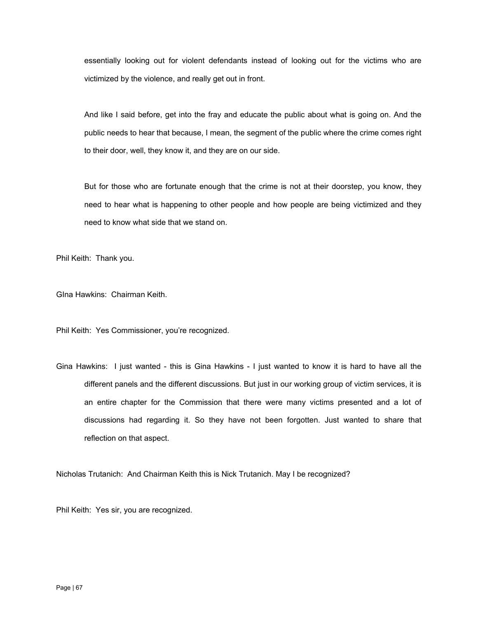essentially looking out for violent defendants instead of looking out for the victims who are victimized by the violence, and really get out in front.

And like I said before, get into the fray and educate the public about what is going on. And the public needs to hear that because, I mean, the segment of the public where the crime comes right to their door, well, they know it, and they are on our side.

But for those who are fortunate enough that the crime is not at their doorstep, you know, they need to hear what is happening to other people and how people are being victimized and they need to know what side that we stand on.

Phil Keith: Thank you.

GIna Hawkins: Chairman Keith.

Phil Keith: Yes Commissioner, you're recognized.

Gina Hawkins: I just wanted - this is Gina Hawkins - I just wanted to know it is hard to have all the different panels and the different discussions. But just in our working group of victim services, it is an entire chapter for the Commission that there were many victims presented and a lot of discussions had regarding it. So they have not been forgotten. Just wanted to share that reflection on that aspect.

Nicholas Trutanich: And Chairman Keith this is Nick Trutanich. May I be recognized?

Phil Keith: Yes sir, you are recognized.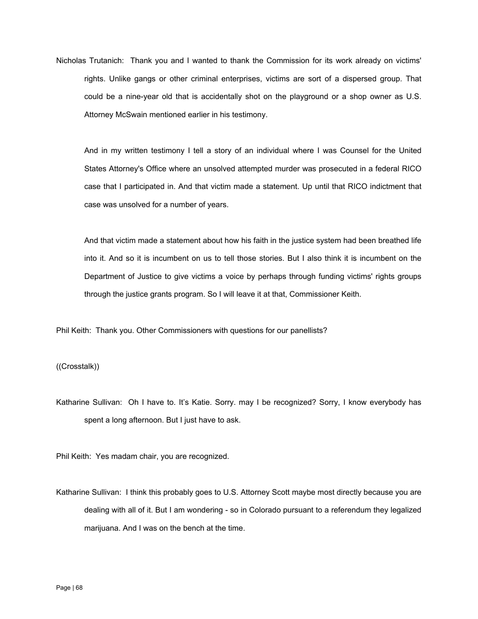Nicholas Trutanich: Thank you and I wanted to thank the Commission for its work already on victims' rights. Unlike gangs or other criminal enterprises, victims are sort of a dispersed group. That could be a nine-year old that is accidentally shot on the playground or a shop owner as U.S. Attorney McSwain mentioned earlier in his testimony.

And in my written testimony I tell a story of an individual where I was Counsel for the United States Attorney's Office where an unsolved attempted murder was prosecuted in a federal RICO case that I participated in. And that victim made a statement. Up until that RICO indictment that case was unsolved for a number of years.

And that victim made a statement about how his faith in the justice system had been breathed life into it. And so it is incumbent on us to tell those stories. But I also think it is incumbent on the Department of Justice to give victims a voice by perhaps through funding victims' rights groups through the justice grants program. So I will leave it at that, Commissioner Keith.

Phil Keith: Thank you. Other Commissioners with questions for our panellists?

((Crosstalk))

Katharine Sullivan: Oh I have to. It's Katie. Sorry. may I be recognized? Sorry, I know everybody has spent a long afternoon. But I just have to ask.

Phil Keith: Yes madam chair, you are recognized.

Katharine Sullivan: I think this probably goes to U.S. Attorney Scott maybe most directly because you are dealing with all of it. But I am wondering - so in Colorado pursuant to a referendum they legalized marijuana. And I was on the bench at the time.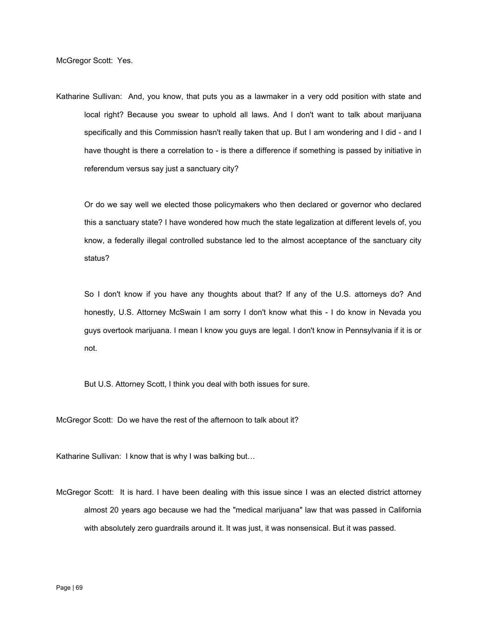Katharine Sullivan: And, you know, that puts you as a lawmaker in a very odd position with state and local right? Because you swear to uphold all laws. And I don't want to talk about marijuana specifically and this Commission hasn't really taken that up. But I am wondering and I did - and I have thought is there a correlation to - is there a difference if something is passed by initiative in referendum versus say just a sanctuary city?

Or do we say well we elected those policymakers who then declared or governor who declared this a sanctuary state? I have wondered how much the state legalization at different levels of, you know, a federally illegal controlled substance led to the almost acceptance of the sanctuary city status?

So I don't know if you have any thoughts about that? If any of the U.S. attorneys do? And honestly, U.S. Attorney McSwain I am sorry I don't know what this - I do know in Nevada you guys overtook marijuana. I mean I know you guys are legal. I don't know in Pennsylvania if it is or not.

But U.S. Attorney Scott, I think you deal with both issues for sure.

McGregor Scott: Do we have the rest of the afternoon to talk about it?

Katharine Sullivan: I know that is why I was balking but…

McGregor Scott: It is hard. I have been dealing with this issue since I was an elected district attorney almost 20 years ago because we had the "medical marijuana" law that was passed in California with absolutely zero guardrails around it. It was just, it was nonsensical. But it was passed.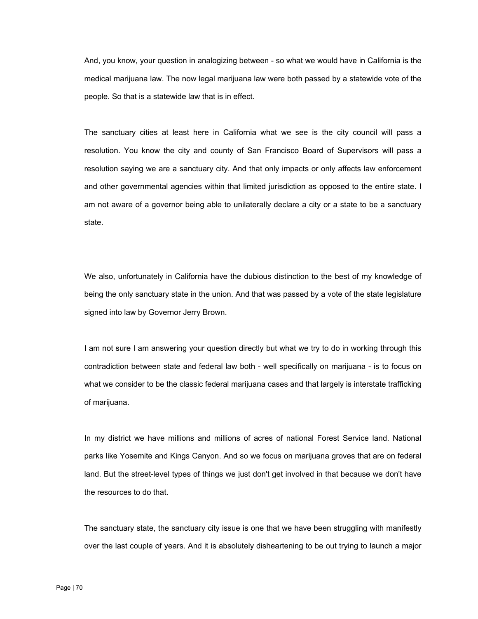And, you know, your question in analogizing between - so what we would have in California is the medical marijuana law. The now legal marijuana law were both passed by a statewide vote of the people. So that is a statewide law that is in effect.

The sanctuary cities at least here in California what we see is the city council will pass a resolution. You know the city and county of San Francisco Board of Supervisors will pass a resolution saying we are a sanctuary city. And that only impacts or only affects law enforcement and other governmental agencies within that limited jurisdiction as opposed to the entire state. I am not aware of a governor being able to unilaterally declare a city or a state to be a sanctuary state.

We also, unfortunately in California have the dubious distinction to the best of my knowledge of being the only sanctuary state in the union. And that was passed by a vote of the state legislature signed into law by Governor Jerry Brown.

I am not sure I am answering your question directly but what we try to do in working through this contradiction between state and federal law both - well specifically on marijuana - is to focus on what we consider to be the classic federal marijuana cases and that largely is interstate trafficking of marijuana.

In my district we have millions and millions of acres of national Forest Service land. National parks like Yosemite and Kings Canyon. And so we focus on marijuana groves that are on federal land. But the street-level types of things we just don't get involved in that because we don't have the resources to do that.

The sanctuary state, the sanctuary city issue is one that we have been struggling with manifestly over the last couple of years. And it is absolutely disheartening to be out trying to launch a major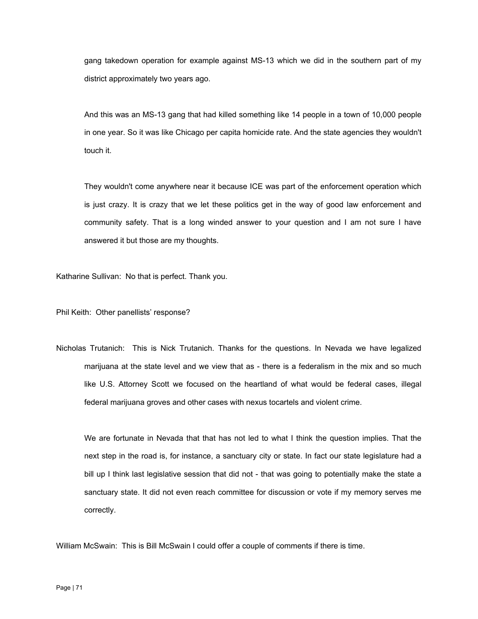gang takedown operation for example against MS-13 which we did in the southern part of my district approximately two years ago.

And this was an MS-13 gang that had killed something like 14 people in a town of 10,000 people in one year. So it was like Chicago per capita homicide rate. And the state agencies they wouldn't touch it.

They wouldn't come anywhere near it because ICE was part of the enforcement operation which is just crazy. It is crazy that we let these politics get in the way of good law enforcement and community safety. That is a long winded answer to your question and I am not sure I have answered it but those are my thoughts.

Katharine Sullivan: No that is perfect. Thank you.

Phil Keith: Other panellists' response?

Nicholas Trutanich: This is Nick Trutanich. Thanks for the questions. In Nevada we have legalized marijuana at the state level and we view that as - there is a federalism in the mix and so much like U.S. Attorney Scott we focused on the heartland of what would be federal cases, illegal federal marijuana groves and other cases with nexus tocartels and violent crime.

We are fortunate in Nevada that that has not led to what I think the question implies. That the next step in the road is, for instance, a sanctuary city or state. In fact our state legislature had a bill up I think last legislative session that did not - that was going to potentially make the state a sanctuary state. It did not even reach committee for discussion or vote if my memory serves me correctly.

William McSwain: This is Bill McSwain I could offer a couple of comments if there is time.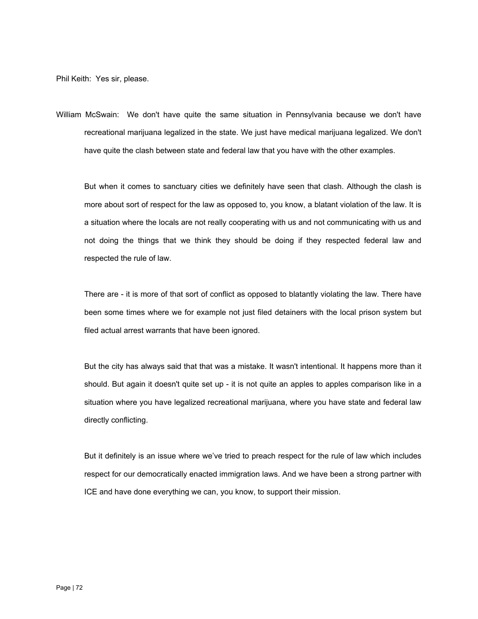Phil Keith: Yes sir, please.

William McSwain: We don't have quite the same situation in Pennsylvania because we don't have recreational marijuana legalized in the state. We just have medical marijuana legalized. We don't have quite the clash between state and federal law that you have with the other examples.

But when it comes to sanctuary cities we definitely have seen that clash. Although the clash is more about sort of respect for the law as opposed to, you know, a blatant violation of the law. It is a situation where the locals are not really cooperating with us and not communicating with us and not doing the things that we think they should be doing if they respected federal law and respected the rule of law.

There are - it is more of that sort of conflict as opposed to blatantly violating the law. There have been some times where we for example not just filed detainers with the local prison system but filed actual arrest warrants that have been ignored.

But the city has always said that that was a mistake. It wasn't intentional. It happens more than it should. But again it doesn't quite set up - it is not quite an apples to apples comparison like in a situation where you have legalized recreational marijuana, where you have state and federal law directly conflicting.

But it definitely is an issue where we've tried to preach respect for the rule of law which includes respect for our democratically enacted immigration laws. And we have been a strong partner with ICE and have done everything we can, you know, to support their mission.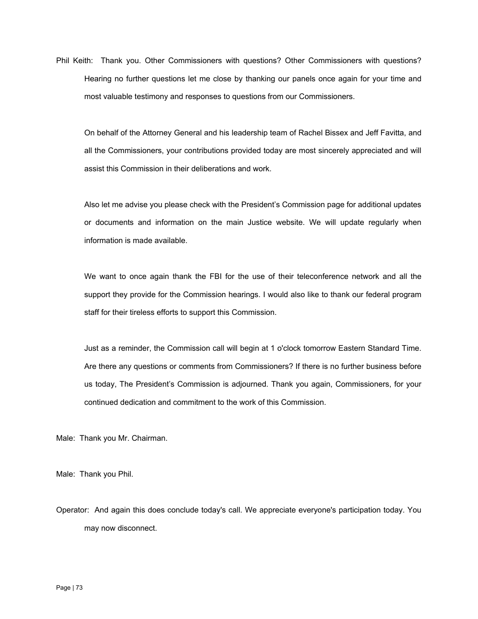Phil Keith: Thank you. Other Commissioners with questions? Other Commissioners with questions? Hearing no further questions let me close by thanking our panels once again for your time and most valuable testimony and responses to questions from our Commissioners.

On behalf of the Attorney General and his leadership team of Rachel Bissex and Jeff Favitta, and all the Commissioners, your contributions provided today are most sincerely appreciated and will assist this Commission in their deliberations and work.

Also let me advise you please check with the President's Commission page for additional updates or documents and information on the main Justice website. We will update regularly when information is made available.

We want to once again thank the FBI for the use of their teleconference network and all the support they provide for the Commission hearings. I would also like to thank our federal program staff for their tireless efforts to support this Commission.

Just as a reminder, the Commission call will begin at 1 o'clock tomorrow Eastern Standard Time. Are there any questions or comments from Commissioners? If there is no further business before us today, The President's Commission is adjourned. Thank you again, Commissioners, for your continued dedication and commitment to the work of this Commission.

Male: Thank you Mr. Chairman.

Male: Thank you Phil.

Operator: And again this does conclude today's call. We appreciate everyone's participation today. You may now disconnect.